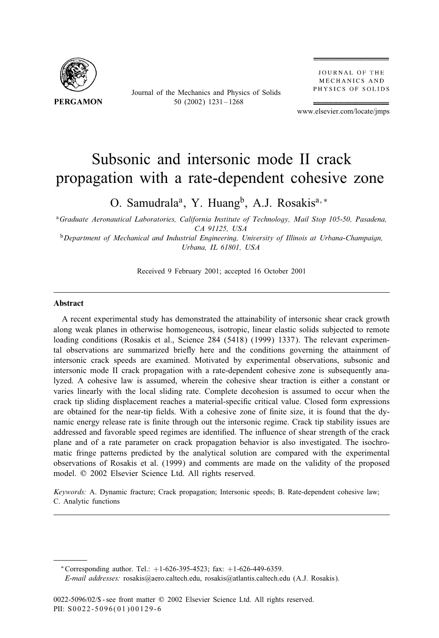

Journal of the Mechanics and Physics of Solids 50 (2002) 1231 – 1268

**JOURNAL OF THE** MECHANICS AND PHYSICS OF SOLIDS

www.elsevier.com/locate/jmps

# Subsonic and intersonic mode II crack propagation with a rate-dependent cohesive zone

O. Samudrala<sup>a</sup>, Y. Huang<sup>b</sup>, A.J. Rosakis<sup>a, ∗</sup>

<sup>a</sup>*Graduate Aeronautical Laboratories, California Institute of Technology, Mail Stop 105-50, Pasadena, CA 91125, USA*

<sup>b</sup>*Department of Mechanical and Industrial Engineering, University of Illinois at Urbana-Champaign, Urbana, IL 61801, USA*

Received 9 February 2001; accepted 16 October 2001

#### Abstract

A recent experimental study has demonstrated the attainability of intersonic shear crack growth along weak planes in otherwise homogeneous, isotropic, linear elastic solids subjected to remote loading conditions (Rosakis et al., Science 284 (5418) (1999) 1337). The relevant experimental observations are summarized briefly here and the conditions governing the attainment of intersonic crack speeds are examined. Motivated by experimental observations, subsonic and intersonic mode II crack propagation with a rate-dependent cohesive zone is subsequently analyzed. A cohesive law is assumed, wherein the cohesive shear traction is either a constant or varies linearly with the local sliding rate. Complete decohesion is assumed to occur when the crack tip sliding displacement reaches a material-specific critical value. Closed form expressions are obtained for the near-tip fields. With a cohesive zone of finite size, it is found that the dynamic energy release rate is finite through out the intersonic regime. Crack tip stability issues are addressed and favorable speed regimes are identified. The influence of shear strength of the crack plane and of a rate parameter on crack propagation behavior is also investigated. The isochromatic fringe patterns predicted by the analytical solution are compared with the experimental observations of Rosakis et al. (1999) and comments are made on the validity of the proposed model. © 2002 Elsevier Science Ltd. All rights reserved.

*Keywords:* A. Dynamic fracture; Crack propagation; Intersonic speeds; B. Rate-dependent cohesive law; C. Analytic functions

∗Corresponding author. Tel.: +1-626-395-4523; fax: +1-626-449-6359.

*E-mail addresses:* rosakis@aero.caltech.edu, rosakis@atlantis.caltech.edu (A.J. Rosakis).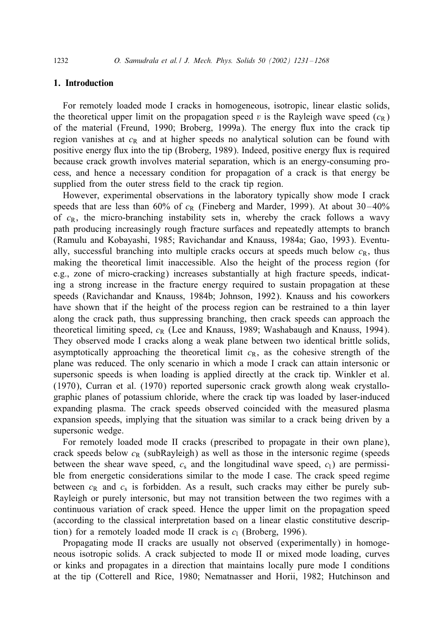## 1. Introduction

For remotely loaded mode I cracks in homogeneous, isotropic, linear elastic solids, the theoretical upper limit on the propagation speed v is the Rayleigh wave speed  $(c_R)$ of the material (Freund, 1990; Broberg, 1999a). The energy 8ux into the crack tip region vanishes at  $c<sub>R</sub>$  and at higher speeds no analytical solution can be found with positive energy flux into the tip (Broberg, 1989). Indeed, positive energy flux is required because crack growth involves material separation, which is an energy-consuming process, and hence a necessary condition for propagation of a crack is that energy be supplied from the outer stress field to the crack tip region.

However, experimental observations in the laboratory typically show mode I crack speeds that are less than 60% of  $c_R$  (Fineberg and Marder, 1999). At about 30–40% of  $c_R$ , the micro-branching instability sets in, whereby the crack follows a wavy path producing increasingly rough fracture surfaces and repeatedly attempts to branch (Ramulu and Kobayashi, 1985; Ravichandar and Knauss, 1984a; Gao, 1993). Eventually, successful branching into multiple cracks occurs at speeds much below  $c_R$ , thus making the theoretical limit inaccessible. Also the height of the process region (for e.g., zone of micro-cracking) increases substantially at high fracture speeds, indicating a strong increase in the fracture energy required to sustain propagation at these speeds (Ravichandar and Knauss, 1984b; Johnson, 1992). Knauss and his coworkers have shown that if the height of the process region can be restrained to a thin layer along the crack path, thus suppressing branching, then crack speeds can approach the theoretical limiting speed,  $c_R$  (Lee and Knauss, 1989; Washabaugh and Knauss, 1994). They observed mode I cracks along a weak plane between two identical brittle solids, asymptotically approaching the theoretical limit  $c_R$ , as the cohesive strength of the plane was reduced. The only scenario in which a mode I crack can attain intersonic or supersonic speeds is when loading is applied directly at the crack tip. Winkler et al. (1970), Curran et al. (1970) reported supersonic crack growth along weak crystallographic planes of potassium chloride, where the crack tip was loaded by laser-induced expanding plasma. The crack speeds observed coincided with the measured plasma expansion speeds, implying that the situation was similar to a crack being driven by a supersonic wedge.

For remotely loaded mode II cracks (prescribed to propagate in their own plane), crack speeds below  $c_R$  (subRayleigh) as well as those in the intersonic regime (speeds between the shear wave speed,  $c_s$  and the longitudinal wave speed,  $c_1$ ) are permissible from energetic considerations similar to the mode I case. The crack speed regime between  $c_R$  and  $c_S$  is forbidden. As a result, such cracks may either be purely sub-Rayleigh or purely intersonic, but may not transition between the two regimes with a continuous variation of crack speed. Hence the upper limit on the propagation speed (according to the classical interpretation based on a linear elastic constitutive description) for a remotely loaded mode II crack is  $c_1$  (Broberg, 1996).

Propagating mode II cracks are usually not observed (experimentally) in homogeneous isotropic solids. A crack subjected to mode II or mixed mode loading, curves or kinks and propagates in a direction that maintains locally pure mode I conditions at the tip (Cotterell and Rice, 1980; Nematnasser and Horii, 1982; Hutchinson and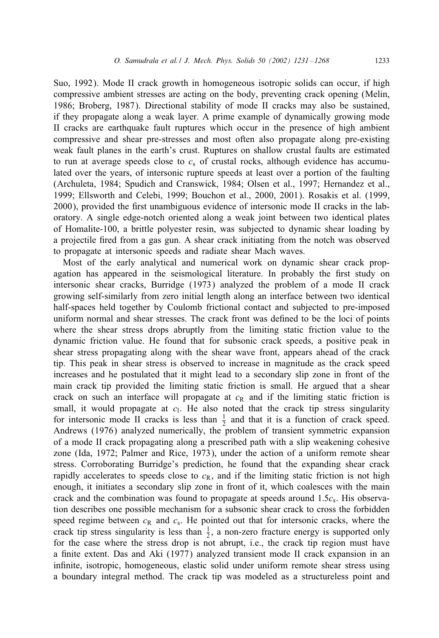Suo, 1992). Mode II crack growth in homogeneous isotropic solids can occur, if high compressive ambient stresses are acting on the body, preventing crack opening (Melin, 1986; Broberg, 1987). Directional stability of mode II cracks may also be sustained, if they propagate along a weak layer. A prime example of dynamically growing mode II cracks are earthquake fault ruptures which occur in the presence of high ambient compressive and shear pre-stresses and most often also propagate along pre-existing weak fault planes in the earth's crust. Ruptures on shallow crustal faults are estimated to run at average speeds close to  $c_s$  of crustal rocks, although evidence has accumulated over the years, of intersonic rupture speeds at least over a portion of the faulting (Archuleta, 1984; Spudich and Cranswick, 1984; Olsen et al., 1997; Hernandez et al., 1999; Ellsworth and Celebi, 1999; Bouchon et al., 2000, 2001). Rosakis et al. (1999, 2000), provided the first unambiguous evidence of intersonic mode II cracks in the laboratory. A single edge-notch oriented along a weak joint between two identical plates of Homalite-100, a brittle polyester resin, was subjected to dynamic shear loading by a projectile fired from a gas gun. A shear crack initiating from the notch was observed to propagate at intersonic speeds and radiate shear Mach waves.

Most of the early analytical and numerical work on dynamic shear crack propagation has appeared in the seismological literature. In probably the first study on intersonic shear cracks, Burridge (1973) analyzed the problem of a mode II crack growing self-similarly from zero initial length along an interface between two identical half-spaces held together by Coulomb frictional contact and subjected to pre-imposed uniform normal and shear stresses. The crack front was defined to be the loci of points where the shear stress drops abruptly from the limiting static friction value to the dynamic friction value. He found that for subsonic crack speeds, a positive peak in shear stress propagating along with the shear wave front, appears ahead of the crack tip. This peak in shear stress is observed to increase in magnitude as the crack speed increases and he postulated that it might lead to a secondary slip zone in front of the main crack tip provided the limiting static friction is small. He argued that a shear crack on such an interface will propagate at  $c_R$  and if the limiting static friction is small, it would propagate at  $c_1$ . He also noted that the crack tip stress singularity for intersonic mode II cracks is less than  $\frac{1}{2}$  and that it is a function of crack speed. Andrews (1976) analyzed numerically, the problem of transient symmetric expansion of a mode II crack propagating along a prescribed path with a slip weakening cohesive zone (Ida, 1972; Palmer and Rice, 1973), under the action of a uniform remote shear stress. Corroborating Burridge's prediction, he found that the expanding shear crack rapidly accelerates to speeds close to  $c<sub>R</sub>$ , and if the limiting static friction is not high enough, it initiates a secondary slip zone in front of it, which coalesces with the main crack and the combination was found to propagate at speeds around  $1.5c_s$ . His observation describes one possible mechanism for a subsonic shear crack to cross the forbidden speed regime between  $c_R$  and  $c_s$ . He pointed out that for intersonic cracks, where the crack tip stress singularity is less than  $\frac{1}{2}$ , a non-zero fracture energy is supported only for the case where the stress drop is not abrupt, i.e., the crack tip region must have a finite extent. Das and Aki (1977) analyzed transient mode II crack expansion in an infinite, isotropic, homogeneous, elastic solid under uniform remote shear stress using a boundary integral method. The crack tip was modeled as a structureless point and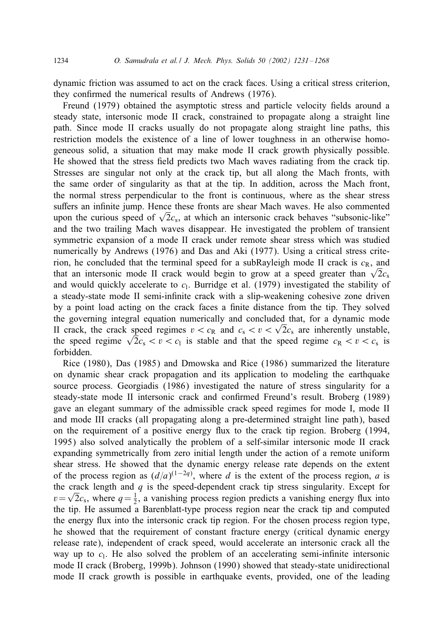dynamic friction was assumed to act on the crack faces. Using a critical stress criterion, they confirmed the numerical results of Andrews (1976).

Freund (1979) obtained the asymptotic stress and particle velocity fields around a steady state, intersonic mode II crack, constrained to propagate along a straight line path. Since mode II cracks usually do not propagate along straight line paths, this restriction models the existence of a line of lower toughness in an otherwise homogeneous solid, a situation that may make mode II crack growth physically possible. He showed that the stress field predicts two Mach waves radiating from the crack tip. Stresses are singular not only at the crack tip, but all along the Mach fronts, with the same order of singularity as that at the tip. In addition, across the Mach front, the normal stress perpendicular to the front is continuous, where as the shear stress suffers an infinite jump. Hence these fronts are shear Mach waves. He also commented suners an infinite jump. Hence these fronts are shear Mach waves. He also commented<br>upon the curious speed of  $\sqrt{2}c_s$ , at which an intersonic crack behaves "subsonic-like" and the two trailing Mach waves disappear. He investigated the problem of transient symmetric expansion of a mode II crack under remote shear stress which was studied numerically by Andrews (1976) and Das and Aki (1977). Using a critical stress criterion, he concluded that the terminal speed for a subRayleigh mode II crack is  $c<sub>R</sub>$ , and Tron, he concluded that the terminal speed for a subkayleigh mode II crack is  $c_R$ , and that an intersonic mode II crack would begin to grow at a speed greater than  $\sqrt{2}c_s$ and would quickly accelerate to  $c_1$ . Burridge et al. (1979) investigated the stability of a steady-state mode II semi-infinite crack with a slip-weakening cohesive zone driven by a point load acting on the crack faces a finite distance from the tip. They solved the governing integral equation numerically and concluded that, for a dynamic mode In the governing integral equation numerically and concluded that, for a dynamic mode<br>II crack, the crack speed regimes  $v < c_R$  and  $c_s < v < \sqrt{2}c_s$  are inherently unstable, It crack, the crack speed regimes  $v < c_R$  and  $c_s < v < \sqrt{2c_s}$  are inherently unstable,<br>the speed regime  $\sqrt{2c_s} < v < c_1$  is stable and that the speed regime  $c_R < v < c_s$  is forbidden.

Rice (1980), Das (1985) and Dmowska and Rice (1986) summarized the literature on dynamic shear crack propagation and its application to modeling the earthquake source process. Georgiadis (1986) investigated the nature of stress singularity for a steady-state mode II intersonic crack and confirmed Freund's result. Broberg (1989) gave an elegant summary of the admissible crack speed regimes for mode I, mode II and mode III cracks (all propagating along a pre-determined straight line path), based on the requirement of a positive energy 8ux to the crack tip region. Broberg (1994, 1995) also solved analytically the problem of a self-similar intersonic mode II crack expanding symmetrically from zero initial length under the action of a remote uniform shear stress. He showed that the dynamic energy release rate depends on the extent of the process region as  $(d/a)^{(1-2q)}$ , where d is the extent of the process region, a is the crack length and  $q$  is the speed-dependent crack tip stress singularity. Except for the crack length and q is the speed-dependent crack tip stress singularity. Except for  $v = \sqrt{2}c_s$ , where  $q = \frac{1}{2}$ , a vanishing process region predicts a vanishing energy flux into the tip. He assumed a Barenblatt-type process region near the crack tip and computed the energy flux into the intersonic crack tip region. For the chosen process region type, he showed that the requirement of constant fracture energy (critical dynamic energy release rate), independent of crack speed, would accelerate an intersonic crack all the way up to  $c_1$ . He also solved the problem of an accelerating semi-infinite intersonic mode II crack (Broberg, 1999b). Johnson (1990) showed that steady-state unidirectional mode II crack growth is possible in earthquake events, provided, one of the leading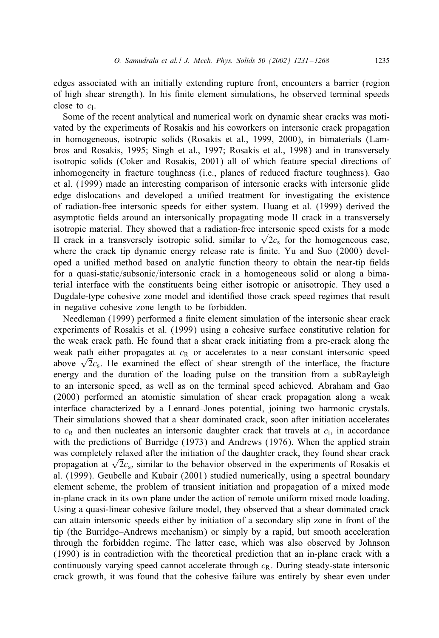edges associated with an initially extending rupture front, encounters a barrier (region of high shear strength). In his finite element simulations, he observed terminal speeds close to  $c_1$ .

Some of the recent analytical and numerical work on dynamic shear cracks was motivated by the experiments of Rosakis and his coworkers on intersonic crack propagation in homogeneous, isotropic solids (Rosakis et al., 1999, 2000), in bimaterials (Lambros and Rosakis, 1995; Singh et al., 1997; Rosakis et al., 1998) and in transversely isotropic solids (Coker and Rosakis, 2001) all of which feature special directions of inhomogeneity in fracture toughness (i.e., planes of reduced fracture toughness). Gao et al. (1999) made an interesting comparison of intersonic cracks with intersonic glide edge dislocations and developed a unified treatment for investigating the existence of radiation-free intersonic speeds for either system. Huang et al. (1999) derived the asymptotic fields around an intersonically propagating mode II crack in a transversely isotropic material. They showed that a radiation-free intersonic speed exists for a mode Isotropic material. They showed that a radiation-free intersont speed exists for a mode<br>II crack in a transversely isotropic solid, similar to  $\sqrt{2}c_s$  for the homogeneous case, where the crack tip dynamic energy release rate is finite. Yu and Suo  $(2000)$  developed a unified method based on analytic function theory to obtain the near-tip fields for a quasi-static/subsonic/intersonic crack in a homogeneous solid or along a bimaterial interface with the constituents being either isotropic or anisotropic. They used a Dugdale-type cohesive zone model and identified those crack speed regimes that result in negative cohesive zone length to be forbidden.

Needleman (1999) performed a finite element simulation of the intersonic shear crack experiments of Rosakis et al. (1999) using a cohesive surface constitutive relation for the weak crack path. He found that a shear crack initiating from a pre-crack along the weak path either propagates at  $c_R$  or accelerates to a near constant intersonic speed weak pain either propagates at  $c_R$  or accelerates to a near constant intersonic speed above  $\sqrt{2}c_s$ . He examined the effect of shear strength of the interface, the fracture energy and the duration of the loading pulse on the transition from a subRayleigh to an intersonic speed, as well as on the terminal speed achieved. Abraham and Gao (2000) performed an atomistic simulation of shear crack propagation along a weak interface characterized by a Lennard–Jones potential, joining two harmonic crystals. Their simulations showed that a shear dominated crack, soon after initiation accelerates to  $c<sub>R</sub>$  and then nucleates an intersonic daughter crack that travels at  $c<sub>1</sub>$ , in accordance with the predictions of Burridge (1973) and Andrews (1976). When the applied strain was completely relaxed after the initiation of the daughter crack, they found shear crack was completely relaxed after the initiation of the daughter crack, they found shear crack propagation at  $\sqrt{2}c_s$ , similar to the behavior observed in the experiments of Rosakis et al. (1999). Geubelle and Kubair (2001) studied numerically, using a spectral boundary element scheme, the problem of transient initiation and propagation of a mixed mode in-plane crack in its own plane under the action of remote uniform mixed mode loading. Using a quasi-linear cohesive failure model, they observed that a shear dominated crack can attain intersonic speeds either by initiation of a secondary slip zone in front of the tip (the Burridge–Andrews mechanism) or simply by a rapid, but smooth acceleration through the forbidden regime. The latter case, which was also observed by Johnson (1990) is in contradiction with the theoretical prediction that an in-plane crack with a continuously varying speed cannot accelerate through  $c<sub>R</sub>$ . During steady-state intersonic crack growth, it was found that the cohesive failure was entirely by shear even under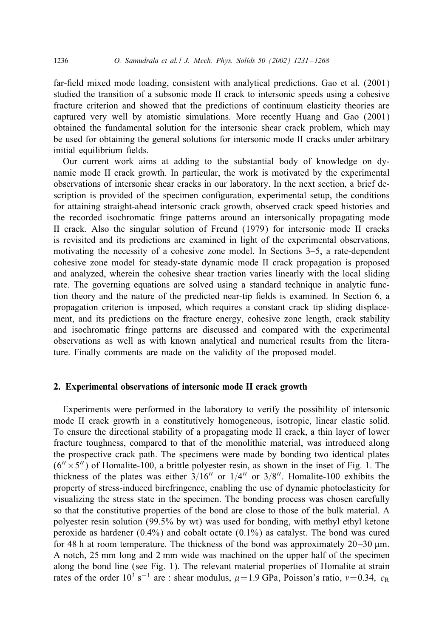far-field mixed mode loading, consistent with analytical predictions. Gao et al.  $(2001)$ studied the transition of a subsonic mode II crack to intersonic speeds using a cohesive fracture criterion and showed that the predictions of continuum elasticity theories are captured very well by atomistic simulations. More recently Huang and Gao (2001) obtained the fundamental solution for the intersonic shear crack problem, which may be used for obtaining the general solutions for intersonic mode II cracks under arbitrary initial equilibrium fields.

Our current work aims at adding to the substantial body of knowledge on dynamic mode II crack growth. In particular, the work is motivated by the experimental observations of intersonic shear cracks in our laboratory. In the next section, a brief description is provided of the specimen configuration, experimental setup, the conditions for attaining straight-ahead intersonic crack growth, observed crack speed histories and the recorded isochromatic fringe patterns around an intersonically propagating mode II crack. Also the singular solution of Freund (1979) for intersonic mode II cracks is revisited and its predictions are examined in light of the experimental observations, motivating the necessity of a cohesive zone model. In Sections 3–5, a rate-dependent cohesive zone model for steady-state dynamic mode II crack propagation is proposed and analyzed, wherein the cohesive shear traction varies linearly with the local sliding rate. The governing equations are solved using a standard technique in analytic function theory and the nature of the predicted near-tip fields is examined. In Section 6, a propagation criterion is imposed, which requires a constant crack tip sliding displacement, and its predictions on the fracture energy, cohesive zone length, crack stability and isochromatic fringe patterns are discussed and compared with the experimental observations as well as with known analytical and numerical results from the literature. Finally comments are made on the validity of the proposed model.

## 2. Experimental observations of intersonic mode II crack growth

Experiments were performed in the laboratory to verify the possibility of intersonic mode II crack growth in a constitutively homogeneous, isotropic, linear elastic solid. To ensure the directional stability of a propagating mode II crack, a thin layer of lower fracture toughness, compared to that of the monolithic material, was introduced along the prospective crack path. The specimens were made by bonding two identical plates  $(6'' \times 5'')$  of Homalite-100, a brittle polyester resin, as shown in the inset of Fig. 1. The thickness of the plates was either  $3/16''$  or  $1/4''$  or  $3/8''$ . Homalite-100 exhibits the property of stress-induced birefringence, enabling the use of dynamic photoelasticity for visualizing the stress state in the specimen. The bonding process was chosen carefully so that the constitutive properties of the bond are close to those of the bulk material. A polyester resin solution (99.5% by wt) was used for bonding, with methyl ethyl ketone peroxide as hardener (0.4%) and cobalt octate (0.1%) as catalyst. The bond was cured for 48 h at room temperature. The thickness of the bond was approximately  $20-30 \mu m$ . A notch, 25 mm long and 2 mm wide was machined on the upper half of the specimen along the bond line (see Fig. 1). The relevant material properties of Homalite at strain rates of the order  $10^3$  s<sup>-1</sup> are : shear modulus,  $\mu$ =1.9 GPa, Poisson's ratio, v=0.34,  $c_R$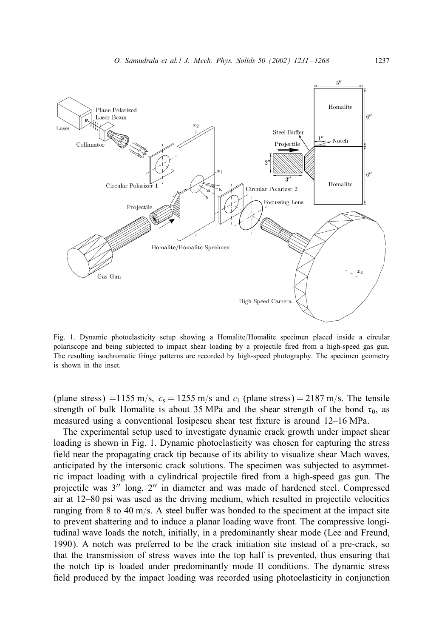

Fig. 1. Dynamic photoelasticity setup showing a Homalite/Homalite specimen placed inside a circular polariscope and being subjected to impact shear loading by a projectile fired from a high-speed gas gun. The resulting isochromatic fringe patterns are recorded by high-speed photography. The specimen geometry is shown in the inset.

(plane stress) = 1155 m/s,  $c_s = 1255$  m/s and  $c_l$  (plane stress) = 2187 m/s. The tensile strength of bulk Homalite is about 35 MPa and the shear strength of the bond  $\tau_0$ , as measured using a conventional Iosipescu shear test fixture is around  $12-16 \text{ MPa}$ .

The experimental setup used to investigate dynamic crack growth under impact shear loading is shown in Fig. 1. Dynamic photoelasticity was chosen for capturing the stress field near the propagating crack tip because of its ability to visualize shear Mach waves, anticipated by the intersonic crack solutions. The specimen was subjected to asymmetric impact loading with a cylindrical projectile fired from a high-speed gas gun. The projectile was 3<sup>"</sup> long, 2" in diameter and was made of hardened steel. Compressed air at 12–80 psi was used as the driving medium, which resulted in projectile velocities ranging from 8 to 40 m/s. A steel buffer was bonded to the speciment at the impact site to prevent shattering and to induce a planar loading wave front. The compressive longitudinal wave loads the notch, initially, in a predominantly shear mode (Lee and Freund, 1990). A notch was preferred to be the crack initiation site instead of a pre-crack, so that the transmission of stress waves into the top half is prevented, thus ensuring that the notch tip is loaded under predominantly mode II conditions. The dynamic stress field produced by the impact loading was recorded using photoelasticity in conjunction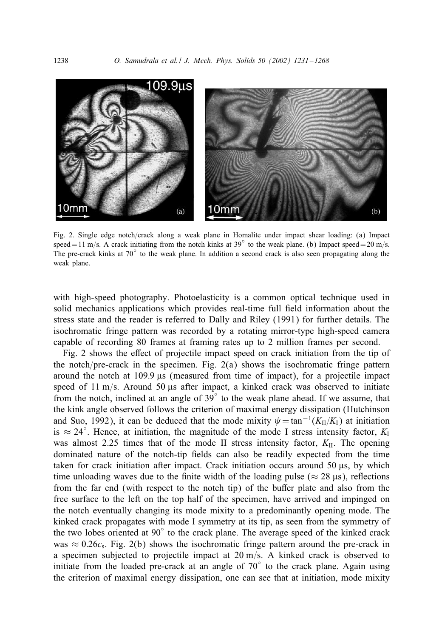

Fig. 2. Single edge notch/crack along a weak plane in Homalite under impact shear loading: (a) Impact speed = 11 m/s. A crack initiating from the notch kinks at  $39°$  to the weak plane. (b) Impact speed = 20 m/s. The pre-crack kinks at  $70^\circ$  to the weak plane. In addition a second crack is also seen propagating along the weak plane.

with high-speed photography. Photoelasticity is a common optical technique used in solid mechanics applications which provides real-time full field information about the stress state and the reader is referred to Dally and Riley (1991) for further details. The isochromatic fringe pattern was recorded by a rotating mirror-type high-speed camera capable of recording 80 frames at framing rates up to 2 million frames per second.

Fig. 2 shows the effect of projectile impact speed on crack initiation from the tip of the notch/pre-crack in the specimen. Fig. 2(a) shows the isochromatic fringe pattern around the notch at 109.9 µs (measured from time of impact), for a projectile impact speed of  $11 \text{ m/s}$ . Around 50  $\mu$ s after impact, a kinked crack was observed to initiate from the notch, inclined at an angle of  $39^\circ$  to the weak plane ahead. If we assume, that the kink angle observed follows the criterion of maximal energy dissipation (Hutchinson and Suo, 1992), it can be deduced that the mode mixity  $\psi = \tan^{-1}(K_{\rm II}/K_{\rm I})$  at initiation is  $\approx 24^{\circ}$ . Hence, at initiation, the magnitude of the mode I stress intensity factor,  $K_I$ was almost 2.25 times that of the mode II stress intensity factor,  $K_{II}$ . The opening dominated nature of the notch-tip fields can also be readily expected from the time taken for crack initiation after impact. Crack initiation occurs around 50  $\mu$ s, by which time unloading waves due to the finite width of the loading pulse ( $\approx$  28  $\mu$ s), reflections from the far end (with respect to the notch tip) of the buffer plate and also from the free surface to the left on the top half of the specimen, have arrived and impinged on the notch eventually changing its mode mixity to a predominantly opening mode. The kinked crack propagates with mode I symmetry at its tip, as seen from the symmetry of the two lobes oriented at 90° to the crack plane. The average speed of the kinked crack was  $\approx 0.26c_s$ . Fig. 2(b) shows the isochromatic fringe pattern around the pre-crack in a specimen subjected to projectile impact at  $20 \text{ m/s}$ . A kinked crack is observed to initiate from the loaded pre-crack at an angle of  $70^\circ$  to the crack plane. Again using the criterion of maximal energy dissipation, one can see that at initiation, mode mixity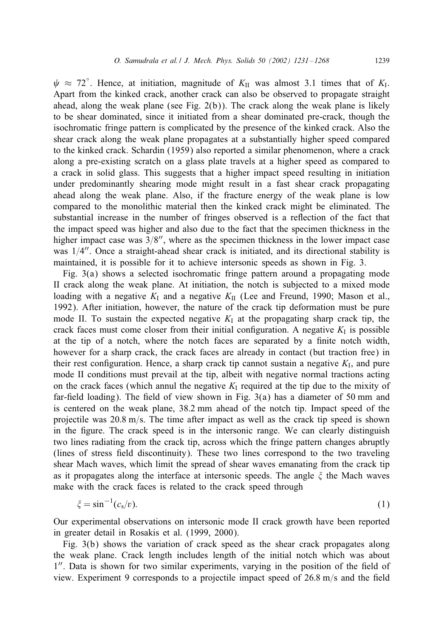$\psi \approx 72^{\circ}$ . Hence, at initiation, magnitude of  $K_{\text{II}}$  was almost 3.1 times that of  $K_{\text{I}}$ . Apart from the kinked crack, another crack can also be observed to propagate straight ahead, along the weak plane (see Fig.  $2(b)$ ). The crack along the weak plane is likely to be shear dominated, since it initiated from a shear dominated pre-crack, though the isochromatic fringe pattern is complicated by the presence of the kinked crack. Also the shear crack along the weak plane propagates at a substantially higher speed compared to the kinked crack. Schardin (1959) also reported a similar phenomenon, where a crack along a pre-existing scratch on a glass plate travels at a higher speed as compared to a crack in solid glass. This suggests that a higher impact speed resulting in initiation under predominantly shearing mode might result in a fast shear crack propagating ahead along the weak plane. Also, if the fracture energy of the weak plane is low compared to the monolithic material then the kinked crack might be eliminated. The substantial increase in the number of fringes observed is a reflection of the fact that the impact speed was higher and also due to the fact that the specimen thickness in the higher impact case was  $3/8''$ , where as the specimen thickness in the lower impact case was  $1/4''$ . Once a straight-ahead shear crack is initiated, and its directional stability is maintained, it is possible for it to achieve intersonic speeds as shown in Fig. 3.

Fig. 3(a) shows a selected isochromatic fringe pattern around a propagating mode II crack along the weak plane. At initiation, the notch is subjected to a mixed mode loading with a negative  $K_I$  and a negative  $K_{II}$  (Lee and Freund, 1990; Mason et al., 1992). After initiation, however, the nature of the crack tip deformation must be pure mode II. To sustain the expected negative  $K<sub>1</sub>$  at the propagating sharp crack tip, the crack faces must come closer from their initial configuration. A negative  $K_I$  is possible at the tip of a notch, where the notch faces are separated by a finite notch width, however for a sharp crack, the crack faces are already in contact (but traction free) in their rest configuration. Hence, a sharp crack tip cannot sustain a negative  $K_I$ , and pure mode II conditions must prevail at the tip, albeit with negative normal tractions acting on the crack faces (which annul the negative  $K_I$  required at the tip due to the mixity of far-field loading). The field of view shown in Fig.  $3(a)$  has a diameter of 50 mm and is centered on the weak plane, 38:2 mm ahead of the notch tip. Impact speed of the projectile was  $20.8 \text{ m/s}$ . The time after impact as well as the crack tip speed is shown in the figure. The crack speed is in the intersonic range. We can clearly distinguish two lines radiating from the crack tip, across which the fringe pattern changes abruptly (lines of stress field discontinuity). These two lines correspond to the two traveling shear Mach waves, which limit the spread of shear waves emanating from the crack tip as it propagates along the interface at intersonic speeds. The angle  $\xi$  the Mach waves make with the crack faces is related to the crack speed through

$$
\xi = \sin^{-1}(c_s/v). \tag{1}
$$

Our experimental observations on intersonic mode II crack growth have been reported in greater detail in Rosakis et al. (1999, 2000).

Fig. 3(b) shows the variation of crack speed as the shear crack propagates along the weak plane. Crack length includes length of the initial notch which was about 1". Data is shown for two similar experiments, varying in the position of the field of view. Experiment 9 corresponds to a projectile impact speed of  $26.8 \text{ m/s}$  and the field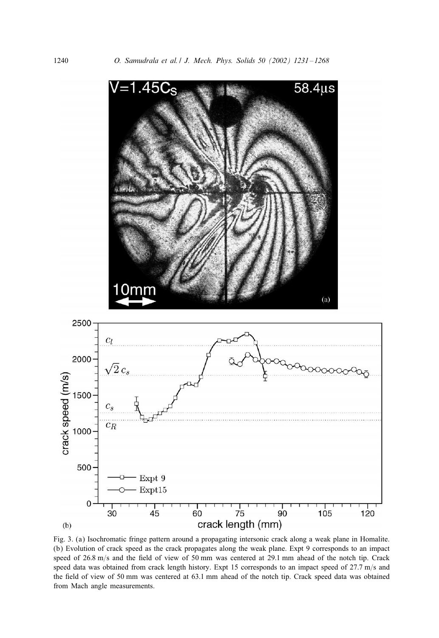

Fig. 3. (a) Isochromatic fringe pattern around a propagating intersonic crack along a weak plane in Homalite. (b) Evolution of crack speed as the crack propagates along the weak plane. Expt 9 corresponds to an impact speed of 26.8 m/s and the field of view of 50 mm was centered at 29.1 mm ahead of the notch tip. Crack speed data was obtained from crack length history. Expt 15 corresponds to an impact speed of  $27.7 \text{ m/s}$  and the field of view of 50 mm was centered at 63.1 mm ahead of the notch tip. Crack speed data was obtained from Mach angle measurements.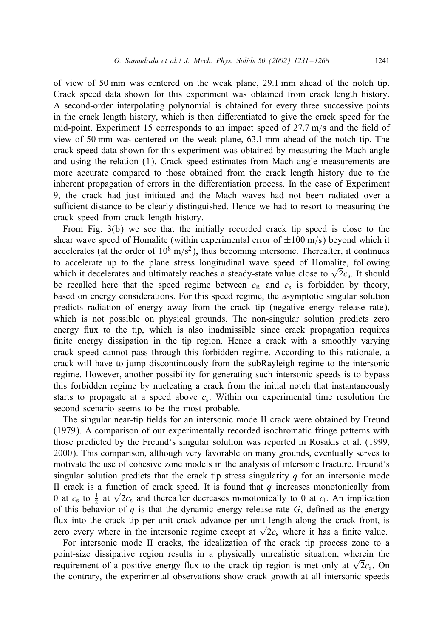of view of 50 mm was centered on the weak plane, 29:1 mm ahead of the notch tip. Crack speed data shown for this experiment was obtained from crack length history. A second-order interpolating polynomial is obtained for every three successive points in the crack length history, which is then differentiated to give the crack speed for the mid-point. Experiment 15 corresponds to an impact speed of  $27.7 \text{ m/s}$  and the field of view of 50 mm was centered on the weak plane, 63:1 mm ahead of the notch tip. The crack speed data shown for this experiment was obtained by measuring the Mach angle and using the relation (1). Crack speed estimates from Mach angle measurements are more accurate compared to those obtained from the crack length history due to the inherent propagation of errors in the differentiation process. In the case of Experiment 9, the crack had just initiated and the Mach waves had not been radiated over a sufficient distance to be clearly distinguished. Hence we had to resort to measuring the crack speed from crack length history.

From Fig. 3(b) we see that the initially recorded crack tip speed is close to the shear wave speed of Homalite (within experimental error of  $\pm 100$  m/s) beyond which it accelerates (at the order of  $10^8$  m/s<sup>2</sup>), thus becoming intersonic. Thereafter, it continues to accelerate up to the plane stress longitudinal wave speed of Homalite, following to accelerate up to the plane stress longitudinal wave speed of Homaille, following which it decelerates and ultimately reaches a steady-state value close to  $\sqrt{2}c_s$ . It should be recalled here that the speed regime between  $c_R$  and  $c_S$  is forbidden by theory, based on energy considerations. For this speed regime, the asymptotic singular solution predicts radiation of energy away from the crack tip (negative energy release rate), which is not possible on physical grounds. The non-singular solution predicts zero energy flux to the tip, which is also inadmissible since crack propagation requires finite energy dissipation in the tip region. Hence a crack with a smoothly varying crack speed cannot pass through this forbidden regime. According to this rationale, a crack will have to jump discontinuously from the subRayleigh regime to the intersonic regime. However, another possibility for generating such intersonic speeds is to bypass this forbidden regime by nucleating a crack from the initial notch that instantaneously starts to propagate at a speed above  $c_s$ . Within our experimental time resolution the second scenario seems to be the most probable.

The singular near-tip fields for an intersonic mode II crack were obtained by Freund (1979). A comparison of our experimentally recorded isochromatic fringe patterns with those predicted by the Freund's singular solution was reported in Rosakis et al. (1999, 2000). This comparison, although very favorable on many grounds, eventually serves to motivate the use of cohesive zone models in the analysis of intersonic fracture. Freund's singular solution predicts that the crack tip stress singularity  $q$  for an intersonic mode II crack is a function of crack speed. It is found that  $q$  increases monotonically from 0 at  $c_s$  to  $\frac{1}{2}$  at  $\sqrt{2}c_s$  and thereafter decreases monotonically to 0 at  $c_1$ . An implication of this behavior of  $q$  is that the dynamic energy release rate  $G$ , defined as the energy flux into the crack tip per unit crack advance per unit length along the crack front, is The interval of the crack the per unit crack advance per unit length along the crack front, is<br>zero every where in the intersonic regime except at  $\sqrt{2}c_s$  where it has a finite value.

For intersonic mode II cracks, the idealization of the crack tip process zone to a point-size dissipative region results in a physically unrealistic situation, wherein the point-size dissipative region results in a physically unrealistic situation, wherein the requirement of a positive energy flux to the crack tip region is met only at  $\sqrt{2}c_s$ . On the contrary, the experimental observations show crack growth at all intersonic speeds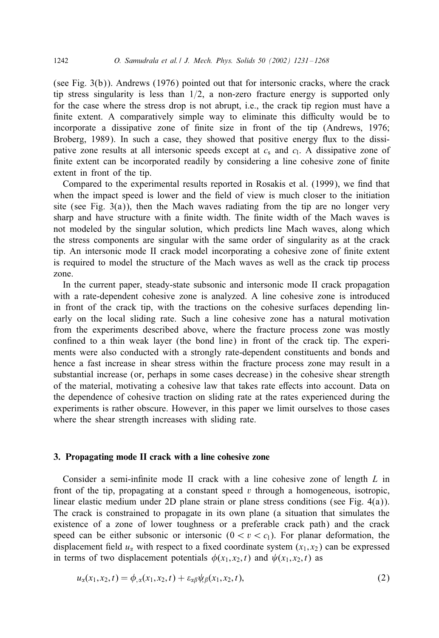(see Fig. 3(b)). Andrews (1976) pointed out that for intersonic cracks, where the crack tip stress singularity is less than  $1/2$ , a non-zero fracture energy is supported only for the case where the stress drop is not abrupt, i.e., the crack tip region must have a finite extent. A comparatively simple way to eliminate this difficulty would be to incorporate a dissipative zone of finite size in front of the tip (Andrews,  $1976$ ; Broberg, 1989). In such a case, they showed that positive energy flux to the dissipative zone results at all intersonic speeds except at  $c_s$  and  $c_l$ . A dissipative zone of finite extent can be incorporated readily by considering a line cohesive zone of finite extent in front of the tip.

Compared to the experimental results reported in Rosakis et al.  $(1999)$ , we find that when the impact speed is lower and the field of view is much closer to the initiation site (see Fig. 3(a)), then the Mach waves radiating from the tip are no longer very sharp and have structure with a finite width. The finite width of the Mach waves is not modeled by the singular solution, which predicts line Mach waves, along which the stress components are singular with the same order of singularity as at the crack tip. An intersonic mode II crack model incorporating a cohesive zone of finite extent is required to model the structure of the Mach waves as well as the crack tip process zone.

In the current paper, steady-state subsonic and intersonic mode II crack propagation with a rate-dependent cohesive zone is analyzed. A line cohesive zone is introduced in front of the crack tip, with the tractions on the cohesive surfaces depending linearly on the local sliding rate. Such a line cohesive zone has a natural motivation from the experiments described above, where the fracture process zone was mostly confined to a thin weak layer (the bond line) in front of the crack tip. The experiments were also conducted with a strongly rate-dependent constituents and bonds and hence a fast increase in shear stress within the fracture process zone may result in a substantial increase (or, perhaps in some cases decrease) in the cohesive shear strength of the material, motivating a cohesive law that takes rate effects into account. Data on the dependence of cohesive traction on sliding rate at the rates experienced during the experiments is rather obscure. However, in this paper we limit ourselves to those cases where the shear strength increases with sliding rate.

### 3. Propagating mode II crack with a line cohesive zone

Consider a semi-infinite mode II crack with a line cohesive zone of length  $L$  in front of the tip, propagating at a constant speed  $v$  through a homogeneous, isotropic, linear elastic medium under 2D plane strain or plane stress conditions (see Fig. 4(a)). The crack is constrained to propagate in its own plane (a situation that simulates the existence of a zone of lower toughness or a preferable crack path) and the crack speed can be either subsonic or intersonic  $(0 < v < c<sub>1</sub>)$ . For planar deformation, the displacement field  $u_{\alpha}$  with respect to a fixed coordinate system  $(x_1, x_2)$  can be expressed in terms of two displacement potentials  $\phi(x_1, x_2, t)$  and  $\psi(x_1, x_2, t)$  as

$$
u_{\alpha}(x_1, x_2, t) = \phi_{,\alpha}(x_1, x_2, t) + \varepsilon_{\alpha\beta}\psi_{,\beta}(x_1, x_2, t),
$$
\n(2)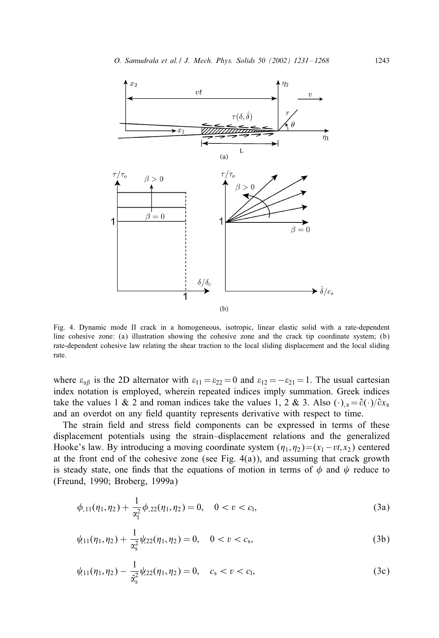

Fig. 4. Dynamic mode II crack in a homogeneous, isotropic, linear elastic solid with a rate-dependent line cohesive zone: (a) illustration showing the cohesive zone and the crack tip coordinate system; (b) rate-dependent cohesive law relating the shear traction to the local sliding displacement and the local sliding rate.

where  $\varepsilon_{\alpha\beta}$  is the 2D alternator with  $\varepsilon_{11} = \varepsilon_{22} = 0$  and  $\varepsilon_{12} = -\varepsilon_{21} = 1$ . The usual cartesian index notation is employed, wherein repeated indices imply summation. Greek indices take the values 1 & 2 and roman indices take the values 1, 2 & 3. Also  $(\cdot)_{,\alpha} = \partial(\cdot)/\partial x_{\alpha}$ and an overdot on any field quantity represents derivative with respect to time.

The strain field and stress field components can be expressed in terms of these displacement potentials using the strain–displacement relations and the generalized Hooke's law. By introducing a moving coordinate system  $(\eta_1, \eta_2)=(x_1-vt, x_2)$  centered at the front end of the cohesive zone (see Fig.  $4(a)$ ), and assuming that crack growth is steady state, one finds that the equations of motion in terms of  $\phi$  and  $\psi$  reduce to (Freund, 1990; Broberg, 1999a)

$$
\phi_{,11}(\eta_1,\eta_2) + \frac{1}{\alpha_1^2} \phi_{,22}(\eta_1,\eta_2) = 0, \quad 0 < v < c_1,\tag{3a}
$$

$$
\psi_{11}(\eta_1, \eta_2) + \frac{1}{\alpha_s^2} \psi_{22}(\eta_1, \eta_2) = 0, \quad 0 < v < c_s,\tag{3b}
$$

$$
\psi_{11}(\eta_1, \eta_2) - \frac{1}{\hat{\alpha}_s^2} \psi_{22}(\eta_1, \eta_2) = 0, \quad c_s < v < c_1,\tag{3c}
$$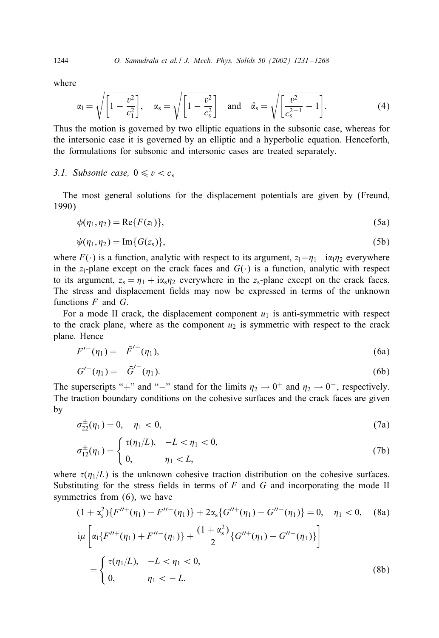where

$$
\alpha_{\rm l} = \sqrt{\left[1 - \frac{v^2}{c_1^2}\right]}, \quad \alpha_{\rm s} = \sqrt{\left[1 - \frac{v^2}{c_{\rm s}^2}\right]} \quad \text{and} \quad \hat{\alpha}_{\rm s} = \sqrt{\left[\frac{v^2}{c_{\rm s}^2} - 1\right]}.
$$
 (4)

Thus the motion is governed by two elliptic equations in the subsonic case, whereas for the intersonic case it is governed by an elliptic and a hyperbolic equation. Henceforth, the formulations for subsonic and intersonic cases are treated separately.

# *3.1. Subsonic case,*  $0 \le v < c_s$

The most general solutions for the displacement potentials are given by (Freund, 1990)

$$
\phi(\eta_1, \eta_2) = \text{Re}\{F(z_1)\},\tag{5a}
$$

$$
\psi(\eta_1, \eta_2) = \operatorname{Im}\{G(z_s)\},\tag{5b}
$$

where  $F(\cdot)$  is a function, analytic with respect to its argument,  $z_1 = \eta_1 + i\alpha_1\eta_2$  everywhere in the z<sub>1</sub>-plane except on the crack faces and  $G(\cdot)$  is a function, analytic with respect to its argument,  $z_s = \eta_1 + i\alpha_s\eta_2$  everywhere in the  $z_s$ -plane except on the crack faces. The stress and displacement fields may now be expressed in terms of the unknown functions  $F$  and  $G$ .

For a mode II crack, the displacement component  $u_1$  is anti-symmetric with respect to the crack plane, where as the component  $u_2$  is symmetric with respect to the crack plane. Hence

$$
F'^{-}(\eta_1) = -\bar{F}'^{-}(\eta_1), \tag{6a}
$$

$$
G'^-(\eta_1) = -\bar{G}'^-(\eta_1). \tag{6b}
$$

The superscripts "+" and "−" stand for the limits  $\eta_2 \to 0^+$  and  $\eta_2 \to 0^-$ , respectively. The traction boundary conditions on the cohesive surfaces and the crack faces are given by

$$
\sigma_{22}^{\pm}(\eta_1) = 0, \quad \eta_1 < 0,\tag{7a}
$$

$$
\sigma_{12}^{\pm}(\eta_1) = \begin{cases} \tau(\eta_1/L), & -L < \eta_1 < 0, \\ 0, & \eta_1 < L, \end{cases}
$$
 (7b)

where  $\tau(\eta_1/L)$  is the unknown cohesive traction distribution on the cohesive surfaces. Substituting for the stress fields in terms of  $F$  and  $G$  and incorporating the mode II symmetries from (6), we have

$$
(1 + \alpha_s^2) \{ F''^+(\eta_1) - F''^-(\eta_1) \} + 2\alpha_s \{ G''^+(\eta_1) - G''^-(\eta_1) \} = 0, \quad \eta_1 < 0,\tag{8a}
$$
\n
$$
i\mu \left[ \alpha_1 \{ F''^+(\eta_1) + F''^-(\eta_1) \} + \frac{(1 + \alpha_s^2)}{2} \{ G''^+(\eta_1) + G''^-(\eta_1) \} \right]
$$
\n
$$
= \begin{cases} \tau(\eta_1/L), & -L < \eta_1 < 0, \\ 0, & \eta_1 < -L. \end{cases} \tag{8b}
$$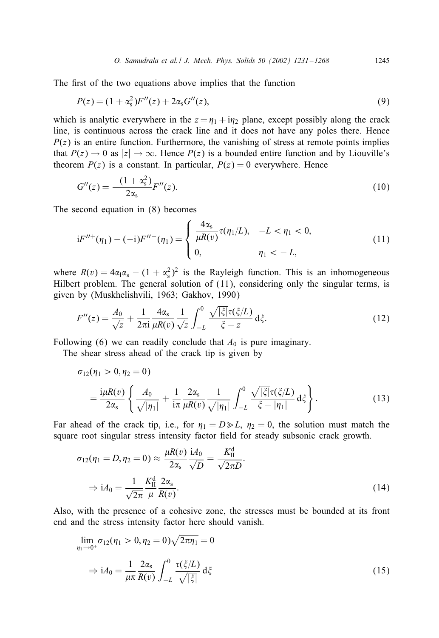The first of the two equations above implies that the function

$$
P(z) = (1 + \alpha_s^2)F''(z) + 2\alpha_s G''(z),
$$
\n(9)

which is analytic everywhere in the  $z = \eta_1 + i\eta_2$  plane, except possibly along the crack line, is continuous across the crack line and it does not have any poles there. Hence  $P(z)$  is an entire function. Furthermore, the vanishing of stress at remote points implies that  $P(z) \to 0$  as  $|z| \to \infty$ . Hence  $P(z)$  is a bounded entire function and by Liouville's theorem  $P(z)$  is a constant. In particular,  $P(z) = 0$  everywhere. Hence

$$
G''(z) = \frac{-(1+\alpha_s^2)}{2\alpha_s} F''(z). \tag{10}
$$

The second equation in (8) becomes

$$
iF''^{+}(\eta_{1}) - (-i)F''^{-}(\eta_{1}) = \begin{cases} \frac{4\alpha_{s}}{\mu R(v)} \tau(\eta_{1}/L), & -L < \eta_{1} < 0, \\ 0, & \eta_{1} < -L, \end{cases}
$$
(11)

where  $R(v) = 4\alpha_1\alpha_s - (1 + \alpha_s^2)^2$  is the Rayleigh function. This is an inhomogeneous Hilbert problem. The general solution of (11), considering only the singular terms, is given by (Muskhelishvili, 1963; Gakhov, 1990)

$$
F''(z) = \frac{A_0}{\sqrt{z}} + \frac{1}{2\pi i} \frac{4\alpha_s}{\mu R(v)} \frac{1}{\sqrt{z}} \int_{-L}^{0} \frac{\sqrt{|\xi|} \tau(\xi/L)}{\xi - z} d\xi.
$$
 (12)

Following (6) we can readily conclude that  $A_0$  is pure imaginary.

The shear stress ahead of the crack tip is given by

$$
\sigma_{12}(\eta_1 > 0, \eta_2 = 0)
$$
  
=  $\frac{i\mu R(v)}{2\alpha_s} \left\{ \frac{A_0}{\sqrt{|\eta_1|}} + \frac{1}{i\pi} \frac{2\alpha_s}{\mu R(v)} \frac{1}{\sqrt{|\eta_1|}} \int_{-L}^{0} \frac{\sqrt{|\xi|} \tau(\xi/L)}{\xi - |\eta_1|} d\xi \right\}.$  (13)

Far ahead of the crack tip, i.e., for  $\eta_1 = D \ge 1$ ,  $\eta_2 = 0$ , the solution must match the square root singular stress intensity factor field for steady subsonic crack growth.

$$
\sigma_{12}(\eta_1 = D, \eta_2 = 0) \approx \frac{\mu R(v)}{2\alpha_s} \frac{\mathrm{i} A_0}{\sqrt{D}} = \frac{K_{\mathrm{II}}^{\mathrm{d}}}{\sqrt{2\pi D}}.
$$
  

$$
\Rightarrow \mathrm{i} A_0 = \frac{1}{\sqrt{2\pi}} \frac{K_{\mathrm{II}}^{\mathrm{d}}}{\mu} \frac{2\alpha_s}{R(v)}.
$$
(14)

Also, with the presence of a cohesive zone, the stresses must be bounded at its front end and the stress intensity factor here should vanish.

$$
\lim_{\eta_1 \to 0^+} \sigma_{12}(\eta_1 > 0, \eta_2 = 0) \sqrt{2\pi \eta_1} = 0
$$
\n
$$
\Rightarrow \mathrm{i} A_0 = \frac{1}{\mu \pi} \frac{2\alpha_s}{R(v)} \int_{-L}^0 \frac{\tau(\xi/L)}{\sqrt{|\xi|}} \,\mathrm{d}\xi \tag{15}
$$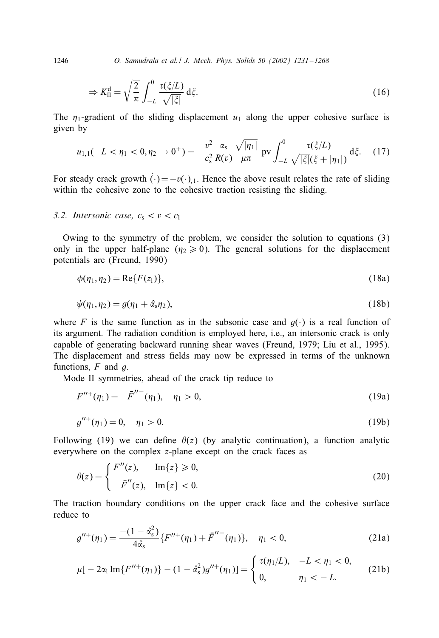1246 *O. Samudrala et al. / J. Mech. Phys. Solids 50 (2002) 1231 – 1268*

$$
\Rightarrow K_{\Pi}^{\mathbf{d}} = \sqrt{\frac{2}{\pi}} \int_{-L}^{0} \frac{\tau(\xi/L)}{\sqrt{|\xi|}} \,\mathrm{d}\xi. \tag{16}
$$

The  $\eta_1$ -gradient of the sliding displacement  $u_1$  along the upper cohesive surface is given by

$$
u_{1,1}(-L < \eta_1 < 0, \eta_2 \to 0^+) = -\frac{v^2}{c_s^2} \frac{\alpha_s}{R(v)} \frac{\sqrt{|\eta_1|}}{\mu \pi} \text{ pv} \int_{-L}^0 \frac{\tau(\zeta/L)}{\sqrt{|\zeta|}(\zeta + |\eta_1|)} d\zeta. \tag{17}
$$

For steady crack growth  $\dot{(\cdot)} = -v(\cdot)_{,1}$ . Hence the above result relates the rate of sliding within the cohesive zone to the cohesive traction resisting the sliding.

# *3.2. Intersonic case,*  $c_s < v < c_1$

Owing to the symmetry of the problem, we consider the solution to equations (3) only in the upper half-plane ( $\eta_2 \ge 0$ ). The general solutions for the displacement potentials are (Freund, 1990)

$$
\phi(\eta_1, \eta_2) = \text{Re}\{F(z_1)\},\tag{18a}
$$

$$
\psi(\eta_1, \eta_2) = g(\eta_1 + \hat{\alpha}_s \eta_2),\tag{18b}
$$

where F is the same function as in the subsonic case and  $g(\cdot)$  is a real function of its argument. The radiation condition is employed here, i.e., an intersonic crack is only capable of generating backward running shear waves (Freund, 1979; Liu et al., 1995). The displacement and stress fields may now be expressed in terms of the unknown functions,  $F$  and  $q$ .

Mode II symmetries, ahead of the crack tip reduce to

$$
F''^{+}(\eta_1) = -\overline{F}''^{-}(\eta_1), \quad \eta_1 > 0,
$$
\n(19a)

$$
g''^+(\eta_1) = 0, \quad \eta_1 > 0. \tag{19b}
$$

Following (19) we can define  $\theta(z)$  (by analytic continuation), a function analytic everywhere on the complex z-plane except on the crack faces as

$$
\theta(z) = \begin{cases} F''(z), & \text{Im}\{z\} \ge 0, \\ -\bar{F}''(z), & \text{Im}\{z\} < 0. \end{cases}
$$
 (20)

The traction boundary conditions on the upper crack face and the cohesive surface reduce to

$$
g''^{+}(\eta_1) = \frac{-(1 - \hat{\alpha}_s^2)}{4\hat{\alpha}_s} \{ F''^{+}(\eta_1) + \bar{F}''^{-}(\eta_1) \}, \quad \eta_1 < 0,\tag{21a}
$$

$$
\mu[-2\alpha_1 \operatorname{Im}\{F''^+(\eta_1)\} - (1 - \hat{\alpha}_s^2)g''^+(\eta_1)] = \begin{cases} \tau(\eta_1/L), & -L < \eta_1 < 0, \\ 0, & \eta_1 < -L. \end{cases}
$$
 (21b)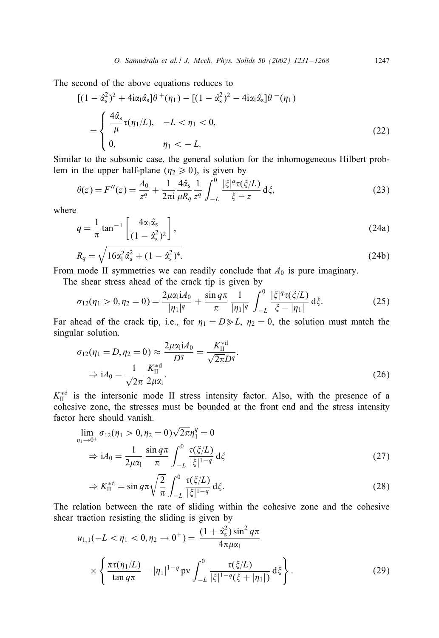The second of the above equations reduces to

$$
[(1 - \hat{\alpha}_{s}^{2})^{2} + 4i\alpha_{1}\hat{\alpha}_{s}]\theta^{+}(\eta_{1}) - [(1 - \hat{\alpha}_{s}^{2})^{2} - 4i\alpha_{1}\hat{\alpha}_{s}]\theta^{-}(\eta_{1})
$$
  
= 
$$
\begin{cases} \frac{4\hat{\alpha}_{s}}{\mu}\tau(\eta_{1}/L), -L < \eta_{1} < 0, \\ 0, \eta_{1} < -L. \end{cases}
$$
 (22)

Similar to the subsonic case, the general solution for the inhomogeneous Hilbert problem in the upper half-plane ( $\eta_2 \ge 0$ ), is given by

$$
\theta(z) = F''(z) = \frac{A_0}{z^q} + \frac{1}{2\pi i} \frac{4\hat{\alpha}_s}{\mu R_q} \frac{1}{z^q} \int_{-L}^0 \frac{|\xi|^q \tau(\xi/L)}{\xi - z} d\xi, \tag{23}
$$

where

$$
q = \frac{1}{\pi} \tan^{-1} \left[ \frac{4\alpha_1 \hat{\alpha}_s}{(1 - \hat{\alpha}_s^2)^2} \right],\tag{24a}
$$

$$
R_q = \sqrt{16\alpha_1^2 \hat{\alpha}_s^2 + (1 - \hat{\alpha}_s^2)^4}.
$$
 (24b)

From mode II symmetries we can readily conclude that  $A_0$  is pure imaginary.

The shear stress ahead of the crack tip is given by

$$
\sigma_{12}(\eta_1 > 0, \eta_2 = 0) = \frac{2\mu\alpha_1 i A_0}{|\eta_1|^q} + \frac{\sin q\pi}{\pi} \frac{1}{|\eta_1|^q} \int_{-L}^0 \frac{|\xi|^q \tau(\xi/L)}{\xi - |\eta_1|} d\xi.
$$
 (25)

Far ahead of the crack tip, i.e., for  $\eta_1 = D \gg L$ ,  $\eta_2 = 0$ , the solution must match the singular solution.

$$
\sigma_{12}(\eta_1 = D, \eta_2 = 0) \approx \frac{2\mu\alpha_1 i A_0}{D^q} = \frac{K_{\text{II}}^{\ast d}}{\sqrt{2\pi} D^q}.
$$
  

$$
\Rightarrow i A_0 = \frac{1}{\sqrt{2\pi}} \frac{K_{\text{II}}^{\ast d}}{2\mu \alpha_1}.
$$
 (26)

 $K_{\text{II}}^{*d}$  is the intersonic mode II stress intensity factor. Also, with the presence of a cohesive zone, the stresses must be bounded at the front end and the stress intensity factor here should vanish.

$$
\lim_{\eta_1 \to 0^+} \sigma_{12}(\eta_1 > 0, \eta_2 = 0) \sqrt{2\pi} \eta_1^q = 0
$$
\n
$$
\Rightarrow \mathrm{i} A_0 = \frac{1}{2\mu \alpha_1} \frac{\sin q\pi}{\pi} \int_{-L}^0 \frac{\tau(\xi/L)}{|\xi|^{1-q}} \,\mathrm{d}\xi \tag{27}
$$

$$
\Rightarrow K_{\text{II}}^{*d} = \sin q\pi \sqrt{\frac{2}{\pi}} \int_{-L}^{0} \frac{\tau(\xi/L)}{|\xi|^{1-q}} d\xi. \tag{28}
$$

The relation between the rate of sliding within the cohesive zone and the cohesive shear traction resisting the sliding is given by

$$
u_{1,1}(-L < \eta_1 < 0, \eta_2 \to 0^+) = \frac{(1 + \hat{\alpha}_{\rm s}^2) \sin^2 q \pi}{4 \pi \mu \alpha_1} \times \left\{ \frac{\pi \tau(\eta_1/L)}{\tan q \pi} - |\eta_1|^{1-q} \, \text{pv} \int_{-L}^0 \frac{\tau(\xi/L)}{|\xi|^{1-q} (\xi + |\eta_1|)} \, \text{d}\xi \right\}.
$$
 (29)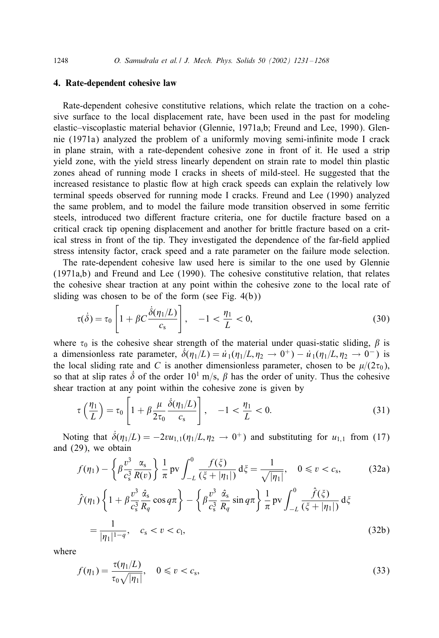### 4. Rate-dependent cohesive law

Rate-dependent cohesive constitutive relations, which relate the traction on a cohesive surface to the local displacement rate, have been used in the past for modeling elastic–viscoplastic material behavior (Glennie, 1971a,b; Freund and Lee, 1990). Glennie (1971a) analyzed the problem of a uniformly moving semi-infinite mode I crack in plane strain, with a rate-dependent cohesive zone in front of it. He used a strip yield zone, with the yield stress linearly dependent on strain rate to model thin plastic zones ahead of running mode I cracks in sheets of mild-steel. He suggested that the increased resistance to plastic flow at high crack speeds can explain the relatively low terminal speeds observed for running mode I cracks. Freund and Lee (1990) analyzed the same problem, and to model the failure mode transition observed in some ferritic steels, introduced two different fracture criteria, one for ductile fracture based on a critical crack tip opening displacement and another for brittle fracture based on a critical stress in front of the tip. They investigated the dependence of the far-field applied stress intensity factor, crack speed and a rate parameter on the failure mode selection.

The rate-dependent cohesive law used here is similar to the one used by Glennie (1971a,b) and Freund and Lee (1990). The cohesive constitutive relation, that relates the cohesive shear traction at any point within the cohesive zone to the local rate of sliding was chosen to be of the form (see Fig. 4(b))

$$
\tau(\dot{\delta}) = \tau_0 \left[ 1 + \beta C \frac{\dot{\delta}(\eta_1/L)}{c_s} \right], \quad -1 < \frac{\eta_1}{L} < 0,\tag{30}
$$

where  $\tau_0$  is the cohesive shear strength of the material under quasi-static sliding,  $\beta$  is a dimensionless rate parameter,  $\dot{\delta}(\eta_1/L) = \dot{u}_1(\eta_1/L, \eta_2 \to 0^+) - \dot{u}_1(\eta_1/L, \eta_2 \to 0^-)$  is the local sliding rate and C is another dimensionless parameter, chosen to be  $\mu/(2\tau_0)$ , so that at slip rates  $\dot{\delta}$  of the order 10<sup>1</sup> m/s,  $\beta$  has the order of unity. Thus the cohesive shear traction at any point within the cohesive zone is given by

$$
\tau\left(\frac{\eta_1}{L}\right) = \tau_0 \left[1 + \beta \frac{\mu}{2\tau_0} \frac{\dot{\delta}(\eta_1/L)}{c_s}\right], \quad -1 < \frac{\eta_1}{L} < 0. \tag{31}
$$

Noting that  $\dot{\delta}(\eta_1/L) = -2vu_{1,1}(\eta_1/L, \eta_2 \to 0^+)$  and substituting for  $u_{1,1}$  from (17) and (29), we obtain

$$
f(\eta_1) - \left\{ \beta \frac{v^3}{c_s^3} \frac{\alpha_s}{R(v)} \right\} \frac{1}{\pi} \text{pv} \int_{-L}^0 \frac{f(\xi)}{(\xi + |\eta_1|)} d\xi = \frac{1}{\sqrt{|\eta_1|}}, \quad 0 \le v < c_s,
$$
 (32a)  

$$
\hat{f}(\eta_1) \left\{ 1 + \beta \frac{v^3}{c_s^3} \frac{\hat{\alpha}_s}{R_q} \cos q\pi \right\} - \left\{ \beta \frac{v^3}{c_s^3} \frac{\hat{\alpha}_s}{R_q} \sin q\pi \right\} \frac{1}{\pi} \text{pv} \int_{-L}^0 \frac{\hat{f}(\xi)}{(\xi + |\eta_1|)} d\xi
$$

$$
= \frac{1}{|\eta_1|^{1-q}}, \quad c_s < v < c_l,
$$
 (32b)

where

$$
f(\eta_1) = \frac{\tau(\eta_1/L)}{\tau_0 \sqrt{|\eta_1|}}, \quad 0 \le v < c_{\rm s}, \tag{33}
$$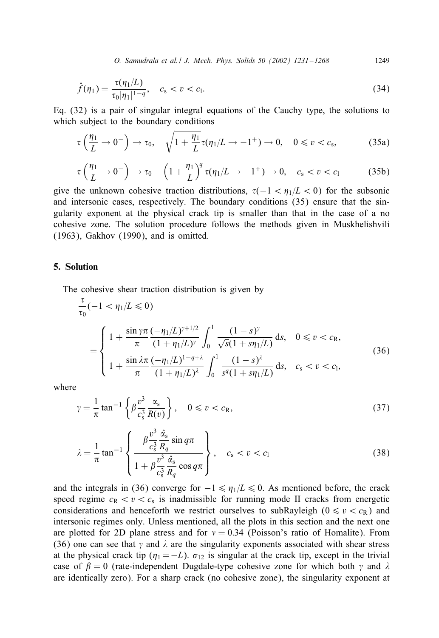*O. Samudrala et al. / J. Mech. Phys. Solids 50 (2002) 1231 – 1268* 1249

$$
\hat{f}(\eta_1) = \frac{\tau(\eta_1/L)}{\tau_0 |\eta_1|^{1-q}}, \quad c_s < v < c_1.
$$
\n(34)

Eq. (32) is a pair of singular integral equations of the Cauchy type, the solutions to which subject to the boundary conditions

$$
\tau\left(\frac{\eta_1}{L}\to 0^-\right)\to \tau_0,\quad \sqrt{1+\frac{\eta_1}{L}}\tau(\eta_1/L\to -1^+)\to 0,\quad 0\leq v
$$

$$
\tau\left(\frac{\eta_1}{L}\to 0^-\right)\to \tau_0 \quad \left(1+\frac{\eta_1}{L}\right)^q \tau(\eta_1/L\to -1^+) \to 0, \quad c_s < v < c_1 \tag{35b}
$$

give the unknown cohesive traction distributions,  $\tau(-1 < \eta_1/L < 0)$  for the subsonic and intersonic cases, respectively. The boundary conditions (35) ensure that the singularity exponent at the physical crack tip is smaller than that in the case of a no cohesive zone. The solution procedure follows the methods given in Muskhelishvili (1963), Gakhov (1990), and is omitted.

# 5. Solution

The cohesive shear traction distribution is given by

$$
\frac{\tau}{\tau_0}(-1 < \eta_1/L \le 0)
$$
\n
$$
= \begin{cases}\n1 + \frac{\sin \gamma \pi}{\pi} \frac{(-\eta_1/L)^{\gamma + 1/2}}{(1 + \eta_1/L)^{\gamma}} \int_0^1 \frac{(1 - s)^{\gamma}}{\sqrt{s}(1 + s\eta_1/L)} ds, & 0 \le v < c_R, \\
1 + \frac{\sin \lambda \pi}{\pi} \frac{(-\eta_1/L)^{1 - q + \lambda}}{(1 + \eta_1/L)^{\lambda}} \int_0^1 \frac{(1 - s)^{\lambda}}{s^q (1 + s\eta_1/L)} ds, & c_s < v < c_l,\n\end{cases}
$$
\n(36)

where

$$
\gamma = \frac{1}{\pi} \tan^{-1} \left\{ \beta \frac{v^3}{c_s^3} \frac{\alpha_s}{R(v)} \right\}, \quad 0 \le v < c_R,\tag{37}
$$

$$
\lambda = \frac{1}{\pi} \tan^{-1} \left\{ \frac{\beta \frac{v^3}{c_s^3} \frac{\hat{\alpha}_s}{R_q} \sin q\pi}{1 + \beta \frac{v^3}{c_s^3} \frac{\hat{\alpha}_s}{R_q} \cos q\pi} \right\}, \quad c_s < v < c_1 \tag{38}
$$

and the integrals in (36) converge for  $-1 \le \eta_1/L \le 0$ . As mentioned before, the crack speed regime  $c_R < v < c_s$  is inadmissible for running mode II cracks from energetic considerations and henceforth we restrict ourselves to subRayleigh ( $0 \le v < c_R$ ) and intersonic regimes only. Unless mentioned, all the plots in this section and the next one are plotted for 2D plane stress and for  $v = 0.34$  (Poisson's ratio of Homalite). From (36) one can see that  $\gamma$  and  $\lambda$  are the singularity exponents associated with shear stress at the physical crack tip ( $\eta_1 = -L$ ).  $\sigma_{12}$  is singular at the crack tip, except in the trivial case of  $\beta = 0$  (rate-independent Dugdale-type cohesive zone for which both  $\gamma$  and  $\lambda$ are identically zero). For a sharp crack (no cohesive zone), the singularity exponent at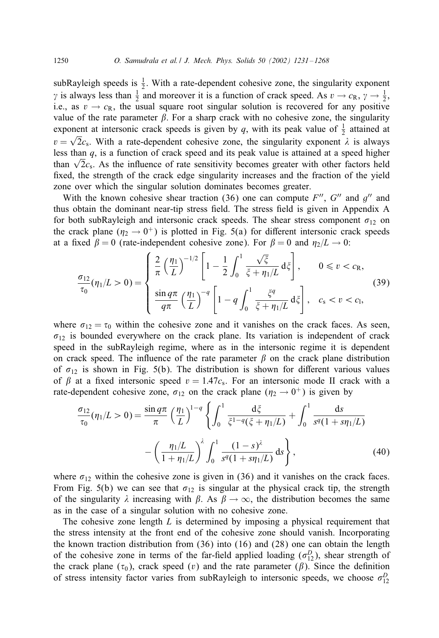subRayleigh speeds is  $\frac{1}{2}$ . With a rate-dependent cohesive zone, the singularity exponent  $\gamma$  is always less than  $\frac{1}{2}$  and moreover it is a function of crack speed. As  $v \to c_R$ ,  $\gamma \to \frac{1}{2}$ , i.e., as  $v \rightarrow c_R$ , the usual square root singular solution is recovered for any positive value of the rate parameter  $\beta$ . For a sharp crack with no cohesive zone, the singularity exponent at intersonic crack speeds is given by q, with its peak value of  $\frac{1}{2}$  attained at  $v = \sqrt{2}c_s$ . With a rate-dependent cohesive zone, the singularity exponent  $\lambda$  is always less than  $q$ , is a function of crack speed and its peak value is attained at a speed higher than  $\sqrt{2}c_s$ . As the influence of rate sensitivity becomes greater with other factors held fixed, the strength of the crack edge singularity increases and the fraction of the yield zone over which the singular solution dominates becomes greater.

With the known cohesive shear traction (36) one can compute  $F''$ ,  $G''$  and  $g''$  and thus obtain the dominant near-tip stress field. The stress field is given in Appendix A for both subRayleigh and intersonic crack speeds. The shear stress component  $\sigma_{12}$  on the crack plane  $(\eta_2 \rightarrow 0^+)$  is plotted in Fig. 5(a) for different intersonic crack speeds at a fixed  $\beta = 0$  (rate-independent cohesive zone). For  $\beta = 0$  and  $\eta_2/L \rightarrow 0$ :

$$
\frac{\sigma_{12}}{\tau_0}(\eta_1/L > 0) = \begin{cases} \frac{2}{\pi} \left(\frac{\eta_1}{L}\right)^{-1/2} \left[1 - \frac{1}{2} \int_0^1 \frac{\sqrt{\xi}}{\xi + \eta_1/L} d\xi\right], & 0 \le v < c_R, \\ \frac{\sin q\pi}{q\pi} \left(\frac{\eta_1}{L}\right)^{-q} \left[1 - q \int_0^1 \frac{\xi^q}{\xi + \eta_1/L} d\xi\right], & c_s < v < c_l, \end{cases}
$$
(39)

where  $\sigma_{12} = \tau_0$  within the cohesive zone and it vanishes on the crack faces. As seen,  $\sigma_{12}$  is bounded everywhere on the crack plane. Its variation is independent of crack speed in the subRayleigh regime, where as in the intersonic regime it is dependent on crack speed. The influence of the rate parameter  $\beta$  on the crack plane distribution of  $\sigma_{12}$  is shown in Fig. 5(b). The distribution is shown for different various values of  $\beta$  at a fixed intersonic speed  $v = 1.47c_s$ . For an intersonic mode II crack with a rate-dependent cohesive zone,  $\sigma_{12}$  on the crack plane ( $\eta_2 \rightarrow 0^+$ ) is given by

$$
\frac{\sigma_{12}}{\tau_0}(\eta_1/L > 0) = \frac{\sin q\pi}{\pi} \left(\frac{\eta_1}{L}\right)^{1-q} \left\{ \int_0^1 \frac{d\zeta}{\zeta^{1-q}(\zeta + \eta_1/L)} + \int_0^1 \frac{ds}{s^q(1+s\eta_1/L)} - \left(\frac{\eta_1/L}{1+\eta_1/L}\right)^{\lambda} \int_0^1 \frac{(1-s)^{\lambda}}{s^q(1+s\eta_1/L)} ds \right\},
$$
(40)

where  $\sigma_{12}$  within the cohesive zone is given in (36) and it vanishes on the crack faces. From Fig. 5(b) we can see that  $\sigma_{12}$  is singular at the physical crack tip, the strength of the singularity  $\lambda$  increasing with  $\beta$ . As  $\beta \to \infty$ , the distribution becomes the same as in the case of a singular solution with no cohesive zone.

The cohesive zone length  $L$  is determined by imposing a physical requirement that the stress intensity at the front end of the cohesive zone should vanish. Incorporating the known traction distribution from (36) into (16) and (28) one can obtain the length of the cohesive zone in terms of the far-field applied loading  $(\sigma_{12}^D)$ , shear strength of the crack plane ( $\tau_0$ ), crack speed (v) and the rate parameter ( $\beta$ ). Since the definition of stress intensity factor varies from subRayleigh to intersonic speeds, we choose  $\sigma_{12}^D$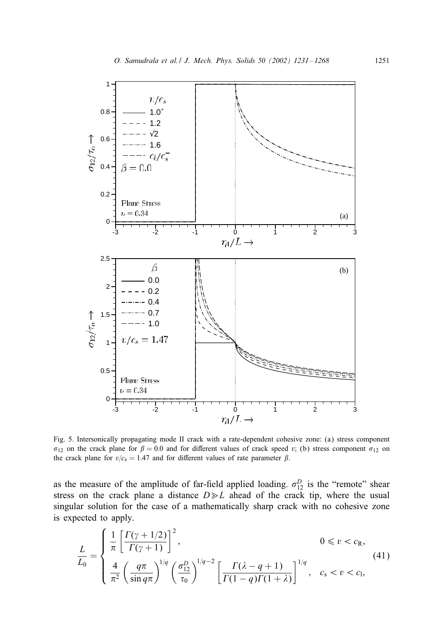

Fig. 5. Intersonically propagating mode II crack with a rate-dependent cohesive zone: (a) stress component  $\sigma_{12}$  on the crack plane for  $\beta = 0.0$  and for different values of crack speed v; (b) stress component  $\sigma_{12}$  on the crack plane for  $v/c_s = 1.47$  and for different values of rate parameter  $\beta$ .

as the measure of the amplitude of far-field applied loading.  $\sigma_{12}^D$  is the "remote" shear stress on the crack plane a distance  $D \gg L$  ahead of the crack tip, where the usual singular solution for the case of a mathematically sharp crack with no cohesive zone is expected to apply.

$$
\frac{L}{L_0} = \begin{cases}\n\frac{1}{\pi} \left[ \frac{\Gamma(\gamma + 1/2)}{\Gamma(\gamma + 1)} \right]^2, & 0 \le v < c_R, \\
\frac{4}{\pi^2} \left( \frac{q\pi}{\sin q\pi} \right)^{1/q} \left( \frac{\sigma_{12}^D}{\tau_0} \right)^{1/q - 2} \left[ \frac{\Gamma(\lambda - q + 1)}{\Gamma(1 - q)\Gamma(1 + \lambda)} \right]^{1/q}, & c_s < v < c_l,\n\end{cases}
$$
\n(41)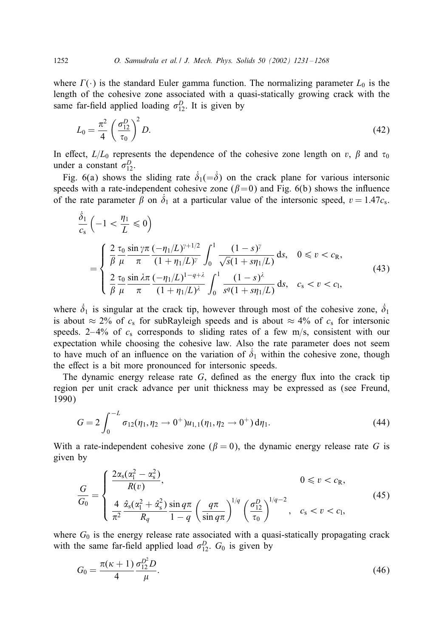where  $\Gamma(\cdot)$  is the standard Euler gamma function. The normalizing parameter  $L_0$  is the length of the cohesive zone associated with a quasi-statically growing crack with the same far-field applied loading  $\sigma_{12}^D$ . It is given by

$$
L_0 = \frac{\pi^2}{4} \left(\frac{\sigma_{12}^D}{\tau_0}\right)^2 D. \tag{42}
$$

In effect,  $L/L_0$  represents the dependence of the cohesive zone length on v,  $\beta$  and  $\tau_0$ under a constant  $\sigma_{12}^D$ .

Fig. 6(a) shows the sliding rate  $\dot{\delta}_1(=\dot{\delta})$  on the crack plane for various intersonic speeds with a rate-independent cohesive zone ( $\beta$ =0) and Fig. 6(b) shows the influence of the rate parameter  $\beta$  on  $\dot{\delta}_1$  at a particular value of the intersonic speed,  $v = 1.47c_s$ .

$$
\frac{\dot{\delta}_1}{c_s} \left( -1 < \frac{\eta_1}{L} \le 0 \right)
$$
\n
$$
= \begin{cases}\n\frac{2 \tau_0}{\beta} \frac{\sin \gamma \pi}{\mu} \frac{(-\eta_1/L)^{\gamma + 1/2}}{\pi} \int_0^1 \frac{(1 - s)^{\gamma}}{\sqrt{s} (1 + s \eta_1/L)} \, ds, & 0 \le v < c_R, \\
\frac{2}{\beta} \frac{\tau_0}{\mu} \frac{\sin \lambda \pi}{\pi} \frac{(-\eta_1/L)^{1 - q + \lambda}}{(1 + \eta_1/L)^{\lambda}} \int_0^1 \frac{(1 - s)^{\lambda}}{s^q (1 + s \eta_1/L)} \, ds, & c_s < v < c_l,\n\end{cases} \tag{43}
$$

where  $\dot{\delta}_1$  is singular at the crack tip, however through most of the cohesive zone,  $\dot{\delta}_1$ is about  $\approx$  2% of  $c_s$  for subRayleigh speeds and is about  $\approx$  4% of  $c_s$  for intersonic speeds. 2–4% of  $c_s$  corresponds to sliding rates of a few m/s, consistent with our expectation while choosing the cohesive law. Also the rate parameter does not seem to have much of an influence on the variation of  $\dot{\delta}_1$  within the cohesive zone, though the effect is a bit more pronounced for intersonic speeds.

The dynamic energy release rate  $G$ , defined as the energy flux into the crack tip region per unit crack advance per unit thickness may be expressed as (see Freund, 1990)

$$
G = 2 \int_0^{-L} \sigma_{12}(\eta_1, \eta_2 \to 0^+) u_{1,1}(\eta_1, \eta_2 \to 0^+) d\eta_1.
$$
 (44)

With a rate-independent cohesive zone ( $\beta = 0$ ), the dynamic energy release rate G is given by

$$
\frac{G}{G_0} = \begin{cases}\n\frac{2\alpha_s(\alpha_1^2 - \alpha_s^2)}{R(v)}, & 0 \le v < c_R, \\
\frac{4}{\pi^2} \frac{\hat{\alpha}_s(\alpha_1^2 + \hat{\alpha}_s^2)}{R_q} \frac{\sin q\pi}{1 - q} \left(\frac{q\pi}{\sin q\pi}\right)^{1/q} \left(\frac{\sigma_{12}^D}{\tau_0}\right)^{1/q - 2}, & c_s < v < c_l,\n\end{cases}
$$
\n(45)

where  $G_0$  is the energy release rate associated with a quasi-statically propagating crack with the same far-field applied load  $\sigma_{12}^D$ .  $G_0$  is given by

$$
G_0 = \frac{\pi(\kappa + 1)}{4} \frac{\sigma_{12}^{D^2} D}{\mu}.
$$
\n(46)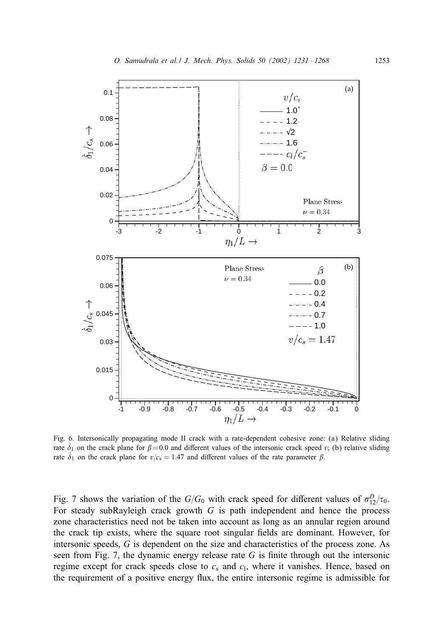

Fig. 6. Intersonically propagating mode II crack with a rate-dependent cohesive zone: (a) Relative sliding rate  $\delta_1$  on the crack plane for  $\beta = 0.0$  and different values of the intersonic crack speed v; (b) relative sliding rate  $\dot{\delta}_1$  on the crack plane for  $v/c_s = 1.47$  and different values of the rate parameter  $\beta$ .

Fig. 7 shows the variation of the  $G/G_0$  with crack speed for different values of  $\sigma_{12}^D/\tau_0$ . For steady subRayleigh crack growth  $G$  is path independent and hence the process zone characteristics need not be taken into account as long as an annular region around the crack tip exists, where the square root singular fields are dominant. However, for intersonic speeds, G is dependent on the size and characteristics of the process zone. As seen from Fig. 7, the dynamic energy release rate  $G$  is finite through out the intersonic regime except for crack speeds close to  $c_s$  and  $c_l$ , where it vanishes. Hence, based on the requirement of a positive energy 8ux, the entire intersonic regime is admissible for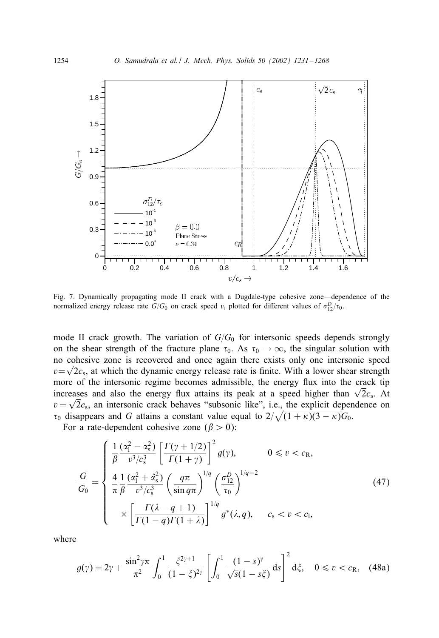

Fig. 7. Dynamically propagating mode II crack with a Dugdale-type cohesive zone—dependence of the normalized energy release rate  $G/G_0$  on crack speed v, plotted for different values of  $\sigma_{12}^D/\tau_0$ .

mode II crack growth. The variation of  $G/G_0$  for intersonic speeds depends strongly on the shear strength of the fracture plane  $\tau_0$ . As  $\tau_0 \rightarrow \infty$ , the singular solution with no cohesive zone is recovered and once again there exists only one intersonic speed  $v = \sqrt{2c_s}$ , at which the dynamic energy release rate is finite. With a lower shear strength more of the intersonic regime becomes admissible, the energy flux into the crack tip more or the intersonic regime becomes admissible, the energy flux into the crack tip increases and also the energy flux attains its peak at a speed higher than  $\sqrt{2}c_s$ . At increases and also the energy flux attains its peak at a speed nigher than  $\sqrt{2}c_s$ . At  $v = \sqrt{2}c_s$ , an intersonic crack behaves "subsonic like", i.e., the explicit dependence on  $\tau_0$  disappears and G attains a constant value equal to  $2/\sqrt{(1 + \kappa)(3 - \kappa)}G_0$ .

For a rate-dependent cohesive zone ( $\beta > 0$ ):

$$
\frac{G}{G_0} = \begin{cases}\n\frac{1}{\beta} \frac{(\alpha_1^2 - \alpha_s^2)}{v^3/c_s^3} \left[ \frac{\Gamma(\gamma + 1/2)}{\Gamma(1 + \gamma)} \right]^2 g(\gamma), & 0 \le v < c_R, \\
\frac{4}{\pi} \frac{1}{\beta} \frac{(\alpha_1^2 + \hat{\alpha}_s^2)}{v^3/c_s^3} \left( \frac{q\pi}{\sin q\pi} \right)^{1/q} \left( \frac{\sigma_{12}^D}{\tau_0} \right)^{1/q - 2} \\
\times \left[ \frac{\Gamma(\lambda - q + 1)}{\Gamma(1 - q)\Gamma(1 + \lambda)} \right]^{1/q} g^*(\lambda, q), & c_s < v < c_1,\n\end{cases} \tag{47}
$$

where

$$
g(\gamma) = 2\gamma + \frac{\sin^2 \gamma \pi}{\pi^2} \int_0^1 \frac{\xi^{2\gamma + 1}}{(1 - \xi)^{2\gamma}} \left[ \int_0^1 \frac{(1 - s)^{\gamma}}{\sqrt{s}(1 - s\xi)} ds \right]^2 d\xi, \quad 0 \leq v < c_R, \quad (48a)
$$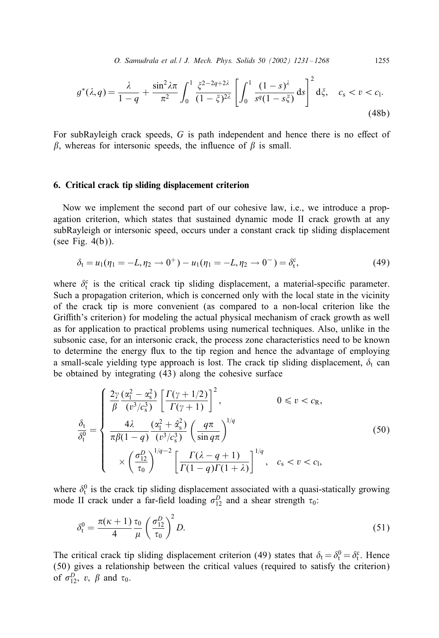*O. Samudrala et al. / J. Mech. Phys. Solids 50 (2002) 1231 – 1268* 1255

$$
g^*(\lambda, q) = \frac{\lambda}{1 - q} + \frac{\sin^2 \lambda \pi}{\pi^2} \int_0^1 \frac{\xi^{2 - 2q + 2\lambda}}{(1 - \xi)^{2\lambda}} \left[ \int_0^1 \frac{(1 - s)^{\lambda}}{s^q (1 - s \xi)} ds \right]^2 d\xi, \quad c_s < v < c_1.
$$
\n(48b)

For subRayleigh crack speeds,  $G$  is path independent and hence there is no effect of  $\beta$ , whereas for intersonic speeds, the influence of  $\beta$  is small.

#### 6. Critical crack tip sliding displacement criterion

Now we implement the second part of our cohesive law, i.e., we introduce a propagation criterion, which states that sustained dynamic mode II crack growth at any subRayleigh or intersonic speed, occurs under a constant crack tip sliding displacement (see Fig. 4(b)).

$$
\delta_{t} = u_{1}(\eta_{1} = -L, \eta_{2} \to 0^{+}) - u_{1}(\eta_{1} = -L, \eta_{2} \to 0^{-}) = \delta_{t}^{c},
$$
\n(49)

where  $\delta_t^c$  is the critical crack tip sliding displacement, a material-specific parameter. Such a propagation criterion, which is concerned only with the local state in the vicinity of the crack tip is more convenient (as compared to a non-local criterion like the Griffith's criterion) for modeling the actual physical mechanism of crack growth as well as for application to practical problems using numerical techniques. Also, unlike in the subsonic case, for an intersonic crack, the process zone characteristics need to be known to determine the energy flux to the tip region and hence the advantage of employing a small-scale yielding type approach is lost. The crack tip sliding displacement,  $\delta_t$  can be obtained by integrating (43) along the cohesive surface

$$
\frac{\delta_{\rm t}}{\delta_{\rm t}^0} = \begin{cases}\n\frac{2\gamma}{\beta} \frac{(\alpha_{\rm l}^2 - \alpha_{\rm s}^2)}{(\upsilon^3/c_{\rm s}^3)} \left[ \frac{\Gamma(\gamma + 1/2)}{\Gamma(\gamma + 1)} \right]^2, & 0 \le \upsilon < c_{\rm R}, \\
\frac{4\lambda}{\pi \beta (1 - q)} \frac{(\alpha_{\rm l}^2 + \hat{\alpha}_{\rm s}^2)}{(\upsilon^3/c_{\rm s}^3)} \left( \frac{q\pi}{\sin q\pi} \right)^{1/q} \\
\times \left( \frac{\sigma_{\rm l2}^D}{\tau_0} \right)^{1/q - 2} \left[ \frac{\Gamma(\lambda - q + 1)}{\Gamma(1 - q)\Gamma(1 + \lambda)} \right]^{1/q}, & c_{\rm s} < \upsilon < c_{\rm l},\n\end{cases} \tag{50}
$$

where  $\delta_t^0$  is the crack tip sliding displacement associated with a quasi-statically growing mode II crack under a far-field loading  $\sigma_{12}^D$  and a shear strength  $\tau_0$ :

$$
\delta_t^0 = \frac{\pi(\kappa + 1)}{4} \frac{\tau_0}{\mu} \left(\frac{\sigma_{12}^D}{\tau_0}\right)^2 D. \tag{51}
$$

The critical crack tip sliding displacement criterion (49) states that  $\delta_t = \delta_t^0 = \delta_t^c$ . Hence (50) gives a relationship between the critical values (required to satisfy the criterion) of  $\sigma_{12}^D$ , v,  $\beta$  and  $\tau_0$ .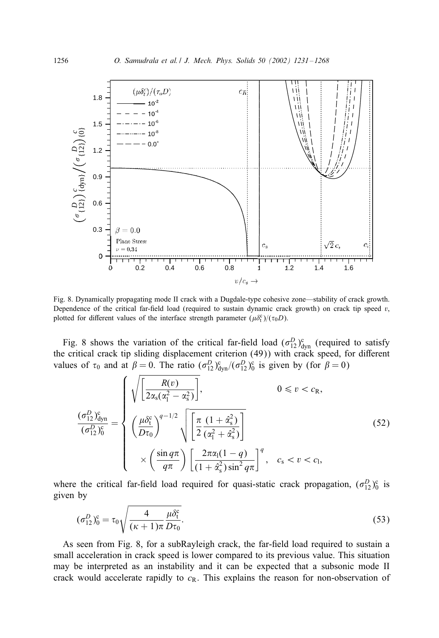

Fig. 8. Dynamically propagating mode II crack with a Dugdale-type cohesive zone—stability of crack growth. Dependence of the critical far-field load (required to sustain dynamic crack growth) on crack tip speed  $v$ , plotted for different values of the interface strength parameter  $(\mu \delta_t^c)/(\tau_0 D)$ .

Fig. 8 shows the variation of the critical far-field load  $(\sigma_{12}^D)_{dyn}^c$  (required to satisfy the critical crack tip sliding displacement criterion  $(49)$ ) with crack speed, for different values of  $\tau_0$  and at  $\beta = 0$ . The ratio  $(\sigma_{12}^D)_{dyn}^c / (\sigma_{12}^D)_{0}^c$  is given by (for  $\beta = 0$ )

$$
\frac{(\sigma_{12}^{D})_{\text{dyn}}^{c}}{(\sigma_{12}^{D})_{0}^{c}} = \begin{cases} \sqrt{\left[\frac{R(v)}{2\alpha_{\text{s}}(\alpha_{1}^{2} - \alpha_{\text{s}}^{2})}\right]}, & 0 \le v < c_{\text{R}},\\ \left(\frac{\mu \delta_{\text{t}}^{c}}{D\tau_{0}}\right)^{q-1/2} \sqrt{\left[\frac{\pi}{2}\frac{(1+\hat{\alpha}_{\text{s}}^{2})}{(\alpha_{1}^{2} + \hat{\alpha}_{\text{s}}^{2})}\right]} & (\text{52})\\ \times \left(\frac{\sin q\pi}{q\pi}\right) \left[\frac{2\pi\alpha_{\text{l}}(1-q)}{(1+\hat{\alpha}_{\text{s}}^{2})\sin^{2}q\pi}\right]^{q}, & c_{\text{s}} < v < c_{\text{I}}, \end{cases}
$$

where the critical far-field load required for quasi-static crack propagation,  $(\sigma_{12}^D)^c$  is given by

$$
(\sigma_{12}^D)_0^c = \tau_0 \sqrt{\frac{4}{(\kappa+1)\pi} \frac{\mu \delta_t^c}{D\tau_0}}.
$$
\n
$$
(53)
$$

As seen from Fig. 8, for a subRayleigh crack, the far-field load required to sustain a small acceleration in crack speed is lower compared to its previous value. This situation may be interpreted as an instability and it can be expected that a subsonic mode II crack would accelerate rapidly to  $c<sub>R</sub>$ . This explains the reason for non-observation of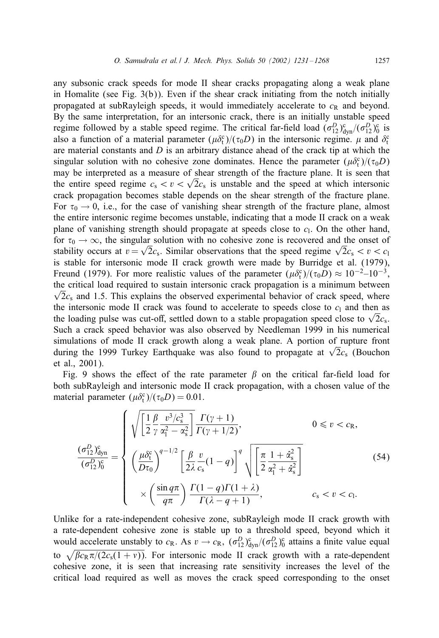any subsonic crack speeds for mode II shear cracks propagating along a weak plane in Homalite (see Fig. 3(b)). Even if the shear crack initiating from the notch initially propagated at subRayleigh speeds, it would immediately accelerate to  $c_R$  and beyond. By the same interpretation, for an intersonic crack, there is an initially unstable speed regime followed by a stable speed regime. The critical far-field load  $(\sigma_{12}^D)_{dyn}^c/(\sigma_{12}^D)_{0}^c$  is also a function of a material parameter  $(\mu \delta_t^c)/(\tau_0 D)$  in the intersonic regime.  $\mu$  and  $\delta_t^c$ are material constants and  $D$  is an arbitrary distance ahead of the crack tip at which the singular solution with no cohesive zone dominates. Hence the parameter  $(\mu \delta_t^c)/(\tau_0 D)$ may be interpreted as a measure of shear strength of the fracture plane. It is seen that the entire speed regime  $c_s < v < \sqrt{2}c_s$  is unstable and the speed at which intersonic crack propagation becomes stable depends on the shear strength of the fracture plane. For  $\tau_0 \rightarrow 0$ , i.e., for the case of vanishing shear strength of the fracture plane, almost the entire intersonic regime becomes unstable, indicating that a mode II crack on a weak plane of vanishing strength should propagate at speeds close to  $c_1$ . On the other hand, for  $\tau_0 \to \infty$ , the singular solution with no cohesive zone is recovered and the onset of stability occurs at  $v = \sqrt{2}c_s$ . Similar observations that the speed regime  $\sqrt{2}c_s < v < c_1$ is stable for intersonic mode II crack growth were made by Burridge et al. (1979), Freund (1979). For more realistic values of the parameter  $(\mu \delta_t^c)/(\tau_0 D) \approx 10^{-2} - 10^{-3}$ , the critical load required to sustain intersonic crack propagation is a minimum between √  $\sqrt{2}c_s$  and 1.5. This explains the observed experimental behavior of crack speed, where the intersonic mode II crack was found to accelerate to speeds close to  $c_1$  and then as the intersonic mode if crack was found to accelerate to speeds close to  $c_1$  and then as the loading pulse was cut-off, settled down to a stable propagation speed close to  $\sqrt{2}c_s$ . Such a crack speed behavior was also observed by Needleman 1999 in his numerical simulations of mode II crack growth along a weak plane. A portion of rupture front simulations of mode if crack growth along a weak plane. A portion of rupture front during the 1999 Turkey Earthquake was also found to propagate at  $\sqrt{2}c_s$  (Bouchon et al., 2001).

Fig. 9 shows the effect of the rate parameter  $\beta$  on the critical far-field load for both subRayleigh and intersonic mode II crack propagation, with a chosen value of the material parameter  $(\mu \delta_{t}^{c})/(\tau_{0}D) = 0.01$ .

$$
\frac{(\sigma_{12}^D)^c_{\text{dyn}}}{(\sigma_{12}^D)^c_{0}} = \begin{cases} \sqrt{\left[\frac{1}{2}\frac{\beta}{\gamma}\frac{v^3/c_s^3}{\alpha_1^2 - \alpha_s^2}\right]} \frac{\Gamma(\gamma + 1)}{\Gamma(\gamma + 1/2)}, & 0 \le v < c_{\text{R}},\\ \left(\frac{\mu \delta_t^c}{D\tau_0}\right)^{q - 1/2} \left[\frac{\beta}{2\lambda} \frac{v}{c_s} (1 - q)\right]^q \sqrt{\left[\frac{\pi}{2}\frac{1 + \hat{\alpha}_s^2}{\alpha_1^2 + \hat{\alpha}_s^2}\right]} \\ \times \left(\frac{\sin q\pi}{q\pi}\right) \frac{\Gamma(1 - q)\Gamma(1 + \lambda)}{\Gamma(\lambda - q + 1)}, & c_{\text{s}} < v < c_{\text{I}}. \end{cases} \tag{54}
$$

Unlike for a rate-independent cohesive zone, subRayleigh mode II crack growth with a rate-dependent cohesive zone is stable up to a threshold speed, beyond which it would accelerate unstably to  $c_R$ . As  $v \to c_R$ ,  $(\sigma_{12}^D)^c_{dyn}/(\sigma_{12}^D)^c_0$  attains a finite value equal to  $\sqrt{\beta c_R \pi/(2c_s(1 + v))}$ . For intersonic mode II crack growth with a rate-dependent cohesive zone, it is seen that increasing rate sensitivity increases the level of the critical load required as well as moves the crack speed corresponding to the onset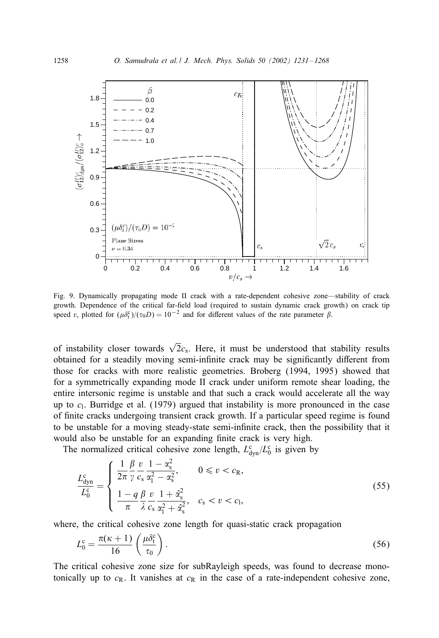

Fig. 9. Dynamically propagating mode II crack with a rate-dependent cohesive zone—stability of crack growth. Dependence of the critical far-field load (required to sustain dynamic crack growth) on crack tip speed v, plotted for  $(\mu \delta_t^c)/(\tau_0 D) = 10^{-2}$  and for different values of the rate parameter  $\beta$ .

of instability closer towards  $\sqrt{2}c_s$ . Here, it must be understood that stability results obtained for a steadily moving semi-infinite crack may be significantly different from those for cracks with more realistic geometries. Broberg (1994, 1995) showed that for a symmetrically expanding mode II crack under uniform remote shear loading, the entire intersonic regime is unstable and that such a crack would accelerate all the way up to  $c_1$ . Burridge et al. (1979) argued that instability is more pronounced in the case of finite cracks undergoing transient crack growth. If a particular speed regime is found to be unstable for a moving steady-state semi-infinite crack, then the possibility that it would also be unstable for an expanding finite crack is very high.

The normalized critical cohesive zone length,  $L_{dyn}^c/L_0^c$  is given by

$$
\frac{L_{\text{dyn}}^{\text{c}}}{L_0^{\text{c}}} = \begin{cases}\n\frac{1}{2\pi} \frac{\beta}{\gamma} \frac{v}{c_s} \frac{1 - \alpha_s^2}{\alpha_1^2 - \alpha_s^2}, & 0 \le v < c_{\text{R}},\\ \n\frac{1 - q}{\pi} \frac{\beta}{\lambda} \frac{v}{c_s} \frac{1 + \hat{\alpha}_s^2}{\alpha_1^2 + \hat{\alpha}_s^2}, & c_s < v < c_{\text{I}},\n\end{cases}
$$
\n(55)

where, the critical cohesive zone length for quasi-static crack propagation

$$
L_0^c = \frac{\pi(\kappa + 1)}{16} \left(\frac{\mu \delta_t^c}{\tau_0}\right). \tag{56}
$$

The critical cohesive zone size for subRayleigh speeds, was found to decrease monotonically up to  $c_R$ . It vanishes at  $c_R$  in the case of a rate-independent cohesive zone,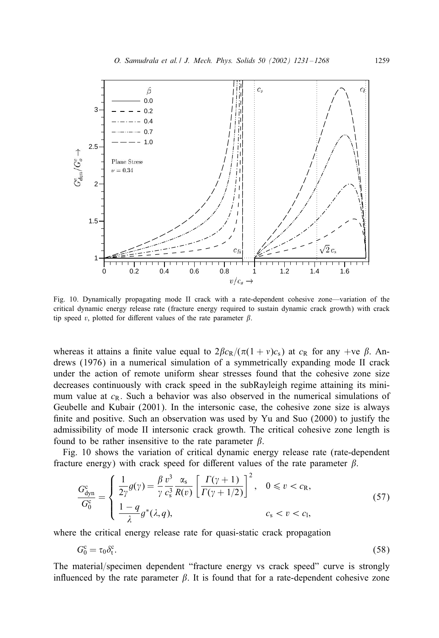

Fig. 10. Dynamically propagating mode II crack with a rate-dependent cohesive zone—variation of the critical dynamic energy release rate (fracture energy required to sustain dynamic crack growth) with crack tip speed v, plotted for different values of the rate parameter  $\beta$ .

whereas it attains a finite value equal to  $2\beta c_R/(\pi(1 + v)c_s)$  at  $c_R$  for any +ve  $\beta$ . Andrews (1976) in a numerical simulation of a symmetrically expanding mode II crack under the action of remote uniform shear stresses found that the cohesive zone size decreases continuously with crack speed in the subRayleigh regime attaining its minimum value at  $c_R$ . Such a behavior was also observed in the numerical simulations of Geubelle and Kubair (2001). In the intersonic case, the cohesive zone size is always finite and positive. Such an observation was used by Yu and Suo  $(2000)$  to justify the admissibility of mode II intersonic crack growth. The critical cohesive zone length is found to be rather insensitive to the rate parameter  $\beta$ .

Fig. 10 shows the variation of critical dynamic energy release rate (rate-dependent fracture energy) with crack speed for different values of the rate parameter  $\beta$ .

$$
\frac{G_{\text{dyn}}^{\text{c}}}{G_0^{\text{c}}} = \begin{cases} \frac{1}{2\gamma} g(\gamma) = \frac{\beta}{\gamma} \frac{v^3}{c_s^3} \frac{\alpha_s}{R(v)} \left[ \frac{\Gamma(\gamma + 1)}{\Gamma(\gamma + 1/2)} \right]^2, & 0 \le v < c_{\text{R}},\\ \frac{1 - q}{\lambda} g^*(\lambda, q), & c_{\text{s}} < v < c_{\text{I}}, \end{cases}
$$
(57)

where the critical energy release rate for quasi-static crack propagation

$$
G_0^c = \tau_0 \delta_t^c. \tag{58}
$$

The material/specimen dependent "fracture energy vs crack speed" curve is strongly influenced by the rate parameter  $\beta$ . It is found that for a rate-dependent cohesive zone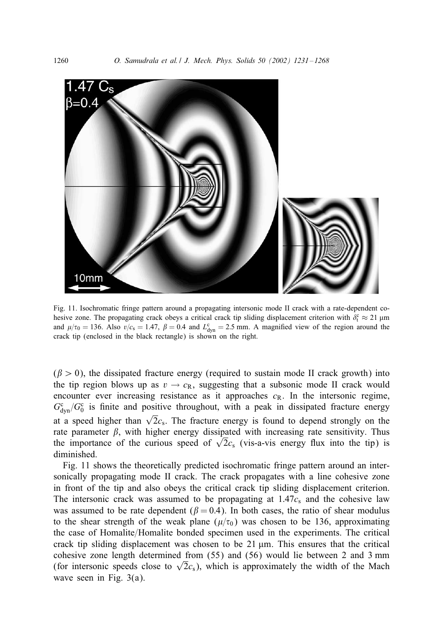

Fig. 11. Isochromatic fringe pattern around a propagating intersonic mode II crack with a rate-dependent cohesive zone. The propagating crack obeys a critical crack tip sliding displacement criterion with  $\delta_t^c \approx 21 \text{ }\mu\text{m}$ and  $\mu/\tau_0 = 136$ . Also  $v/c_s = 1.47$ ,  $\beta = 0.4$  and  $L_{dyn}^c = 2.5$  mm. A magnified view of the region around the crack tip (enclosed in the black rectangle) is shown on the right.

 $(\beta > 0)$ , the dissipated fracture energy (required to sustain mode II crack growth) into the tip region blows up as  $v \rightarrow c_R$ , suggesting that a subsonic mode II crack would encounter ever increasing resistance as it approaches  $c_R$ . In the intersonic regime,  $G_{dyn}^c/G_0^c$  is finite and positive throughout, with a peak in dissipated fracture energy  $\sigma_{dyn}/\sigma_0$  is mine and positive anoughout, while peak in dissipated intetare energy at a speed higher than  $\sqrt{2}c_s$ . The fracture energy is found to depend strongly on the rate parameter  $\beta$ , with higher energy dissipated with increasing rate sensitivity. Thus The importance of the curious speed of  $\sqrt{2}c_s$  (vis-a-vis energy flux into the tip) is diminished.

Fig. 11 shows the theoretically predicted isochromatic fringe pattern around an intersonically propagating mode II crack. The crack propagates with a line cohesive zone in front of the tip and also obeys the critical crack tip sliding displacement criterion. The intersonic crack was assumed to be propagating at  $1.47c<sub>s</sub>$  and the cohesive law was assumed to be rate dependent ( $\beta = 0.4$ ). In both cases, the ratio of shear modulus to the shear strength of the weak plane  $(\mu/\tau_0)$  was chosen to be 136, approximating the case of Homalite/Homalite bonded specimen used in the experiments. The critical crack tip sliding displacement was chosen to be  $21 \mu m$ . This ensures that the critical cohesive zone length determined from (55) and (56) would lie between 2 and 3 mm Conesive zone length determined from (55) and (56) would be between 2 and 3 mm<br>(for intersonic speeds close to  $\sqrt{2}c_s$ ), which is approximately the width of the Mach wave seen in Fig. 3(a).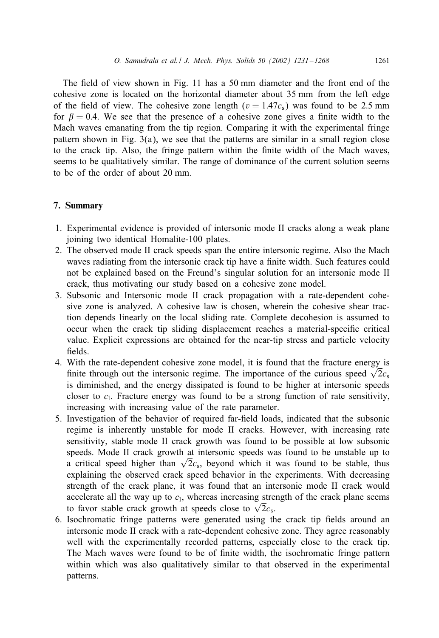The field of view shown in Fig. 11 has a 50 mm diameter and the front end of the cohesive zone is located on the horizontal diameter about 35 mm from the left edge of the field of view. The cohesive zone length ( $v = 1.47c_s$ ) was found to be 2.5 mm for  $\beta = 0.4$ . We see that the presence of a cohesive zone gives a finite width to the Mach waves emanating from the tip region. Comparing it with the experimental fringe pattern shown in Fig. 3(a), we see that the patterns are similar in a small region close to the crack tip. Also, the fringe pattern within the finite width of the Mach waves, seems to be qualitatively similar. The range of dominance of the current solution seems to be of the order of about 20 mm.

## 7. Summary

- 1. Experimental evidence is provided of intersonic mode II cracks along a weak plane joining two identical Homalite-100 plates.
- 2. The observed mode II crack speeds span the entire intersonic regime. Also the Mach waves radiating from the intersonic crack tip have a finite width. Such features could not be explained based on the Freund's singular solution for an intersonic mode II crack, thus motivating our study based on a cohesive zone model.
- 3. Subsonic and Intersonic mode II crack propagation with a rate-dependent cohesive zone is analyzed. A cohesive law is chosen, wherein the cohesive shear traction depends linearly on the local sliding rate. Complete decohesion is assumed to occur when the crack tip sliding displacement reaches a material-specific critical value. Explicit expressions are obtained for the near-tip stress and particle velocity fields.
- 4. With the rate-dependent cohesive zone model, it is found that the fracture energy is with the rate-dependent conesive zone model, it is found that the fracture energy is finite through out the intersonic regime. The importance of the curious speed  $\sqrt{2}c_s$ is diminished, and the energy dissipated is found to be higher at intersonic speeds closer to  $c_1$ . Fracture energy was found to be a strong function of rate sensitivity, increasing with increasing value of the rate parameter.
- 5. Investigation of the behavior of required far-field loads, indicated that the subsonic regime is inherently unstable for mode II cracks. However, with increasing rate sensitivity, stable mode II crack growth was found to be possible at low subsonic speeds. Mode II crack growth at intersonic speeds was found to be unstable up to speeds. Mode II crack growth at intersonic speeds was found to be unstable up to a critical speed higher than  $\sqrt{2}c_s$ , beyond which it was found to be stable, thus explaining the observed crack speed behavior in the experiments. With decreasing strength of the crack plane, it was found that an intersonic mode II crack would accelerate all the way up to  $c_1$ , whereas increasing strength of the crack plane seems accelerate all the way up to  $c_1$ , whereas increasing stre<br>to favor stable crack growth at speeds close to  $\sqrt{2}c_s$ .
- 6. Isochromatic fringe patterns were generated using the crack tip fields around an intersonic mode II crack with a rate-dependent cohesive zone. They agree reasonably well with the experimentally recorded patterns, especially close to the crack tip. The Mach waves were found to be of finite width, the isochromatic fringe pattern within which was also qualitatively similar to that observed in the experimental patterns.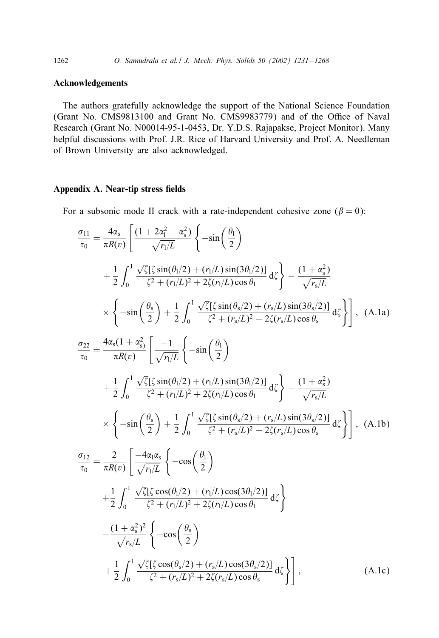# Acknowledgements

The authors gratefully acknowledge the support of the National Science Foundation (Grant No. CMS9813100 and Grant No. CMS9983779) and of the Office of Naval Research (Grant No. N00014-95-1-0453, Dr. Y.D.S. Rajapakse, Project Monitor). Many helpful discussions with Prof. J.R. Rice of Harvard University and Prof. A. Needleman of Brown University are also acknowledged.

## Appendix A. Near-tip stress fields

For a subsonic mode II crack with a rate-independent cohesive zone ( $\beta = 0$ ):

$$
\frac{\sigma_{11}}{\tau_{0}} = \frac{4\alpha_{s}}{\pi R(v)} \left[ \frac{(1+2\alpha_{1}^{2} - \alpha_{s}^{2})}{\sqrt{r_{1}/L}} \left\{ -\sin\left(\frac{\theta_{1}}{2}\right) \right.\n+ \frac{1}{2} \int_{0}^{1} \frac{\sqrt{\zeta}[\zeta \sin(\theta_{1}/2) + (r_{1}/L) \sin(3\theta_{1}/2)]}{\zeta^{2} + (r_{1}/L)^{2} + 2\zeta(r_{1}/L) \cos\theta_{1}} d\zeta \right\} - \frac{(1+\alpha_{s}^{2})}{\sqrt{r_{s}/L}}\n\times \left\{ -\sin\left(\frac{\theta_{s}}{2}\right) + \frac{1}{2} \int_{0}^{1} \frac{\sqrt{\zeta}[\zeta \sin(\theta_{s}/2) + (r_{s}/L) \sin(3\theta_{s}/2)]}{\zeta^{2} + (r_{s}/L)^{2} + 2\zeta(r_{s}/L) \cos\theta_{s}} d\zeta \right\} \right], (A.1a)
$$
\n
$$
\frac{\sigma_{22}}{\tau_{0}} = \frac{4\alpha_{s}(1+\alpha_{s}^{2})}{\pi R(v)} \left[ \frac{-1}{\sqrt{r_{1}/L}} \left\{ -\sin\left(\frac{\theta_{1}}{2}\right) \right.\n+ \frac{1}{2} \int_{0}^{1} \frac{\sqrt{\zeta}[\zeta \sin(\theta_{1}/2) + (r_{1}/L) \sin(3\theta_{1}/2)]}{\zeta^{2} + (r_{1}/L)^{2} + 2\zeta(r_{1}/L) \cos\theta_{1}} d\zeta \right\} - \frac{(1+\alpha_{s}^{2})}{\sqrt{r_{s}/L}}\n\times \left\{ -\sin\left(\frac{\theta_{s}}{2}\right) + \frac{1}{2} \int_{0}^{1} \frac{\sqrt{\zeta}[\zeta \sin(\theta_{s}/2) + (r_{s}/L) \sin(3\theta_{s}/2)]}{\zeta^{2} + (r_{s}/L)^{2} + 2\zeta(r_{s}/L) \cos\theta_{s}} d\zeta \right\} \right], (A.1b)
$$
\n
$$
\frac{\sigma_{12}}{\tau_{0}} = \frac{2}{\pi R(v)} \left[ \frac{-4\alpha_{1}\alpha_{s}}{\sqrt{r_{1}/L}} \left\{ -\cos\left(\frac{\
$$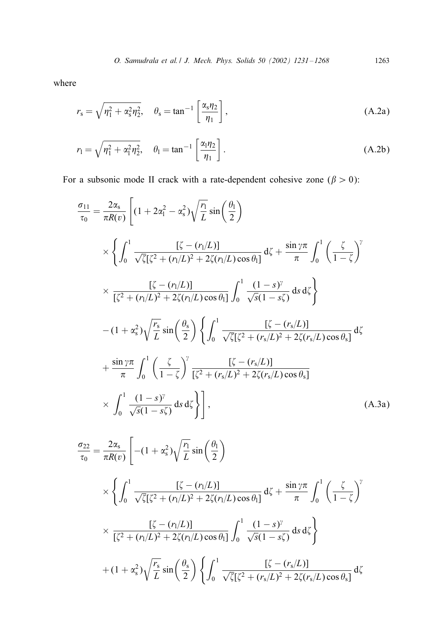where

$$
r_{s} = \sqrt{\eta_{1}^{2} + \alpha_{s}^{2} \eta_{2}^{2}}, \quad \theta_{s} = \tan^{-1} \left[ \frac{\alpha_{s} \eta_{2}}{\eta_{1}} \right],
$$
 (A.2a)

$$
r_1 = \sqrt{\eta_1^2 + \alpha_1^2 \eta_2^2}, \quad \theta_1 = \tan^{-1} \left[ \frac{\alpha_1 \eta_2}{\eta_1} \right].
$$
 (A.2b)

For a subsonic mode II crack with a rate-dependent cohesive zone ( $\beta > 0$ ):

$$
\frac{\sigma_{11}}{\tau_0} = \frac{2\alpha_s}{\pi R(v)} \left[ (1 + 2\alpha_1^2 - \alpha_s^2) \sqrt{\frac{r_1}{L}} \sin\left(\frac{\theta_1}{2}\right) \right]
$$
\n
$$
\times \left\{ \int_0^1 \frac{[\zeta - (r_1/L)]}{\sqrt{\zeta} [\zeta^2 + (r_1/L)^2 + 2\zeta(r_1/L) \cos \theta_1]} d\zeta + \frac{\sin \gamma \pi}{\pi} \int_0^1 \left(\frac{\zeta}{1 - \zeta}\right)^{\gamma} d\zeta \right\}
$$
\n
$$
\times \frac{[\zeta - (r_1/L)]}{[\zeta^2 + (r_1/L)^2 + 2\zeta(r_1/L) \cos \theta_1]} \int_0^1 \frac{(1 - s)^{\gamma}}{\sqrt{s} (1 - s\zeta)} ds d\zeta \right\}
$$
\n
$$
-(1 + \alpha_s^2) \sqrt{\frac{r_s}{L}} \sin\left(\frac{\theta_s}{2}\right) \left\{ \int_0^1 \frac{[\zeta - (r_s/L)]}{\sqrt{\zeta} [\zeta^2 + (r_s/L)^2 + 2\zeta(r_s/L) \cos \theta_s]} d\zeta + \frac{\sin \gamma \pi}{\pi} \int_0^1 \left(\frac{\zeta}{1 - \zeta}\right)^{\gamma} \frac{[\zeta - (r_s/L)]}{[\zeta^2 + (r_s/L)^2 + 2\zeta(r_s/L) \cos \theta_s]} d\zeta
$$
\n
$$
\times \int_0^1 \frac{(1 - s)^{\gamma}}{\sqrt{s} (1 - s\zeta)} ds d\zeta \right\}, \qquad (A.3a)
$$

$$
\frac{\sigma_{22}}{\tau_0} = \frac{2\alpha_s}{\pi R(v)} \left[ -(1 + \alpha_s^2) \sqrt{\frac{r_1}{L}} \sin\left(\frac{\theta_1}{2}\right) \right]
$$
  

$$
\times \left\{ \int_0^1 \frac{[\zeta - (r_1/L)]}{\sqrt{\zeta} [\zeta^2 + (r_1/L)^2 + 2\zeta(r_1/L) \cos \theta_1]} d\zeta + \frac{\sin \gamma \pi}{\pi} \int_0^1 \left(\frac{\zeta}{1 - \zeta}\right)^{\gamma} d\zeta \right\}
$$
  

$$
\times \frac{[\zeta - (r_1/L)]}{[\zeta^2 + (r_1/L)^2 + 2\zeta(r_1/L) \cos \theta_1]} \int_0^1 \frac{(1 - s)^{\gamma}}{\sqrt{s}(1 - s\zeta)} ds d\zeta \right\}
$$
  
+ 
$$
(1 + \alpha_s^2) \sqrt{\frac{r_s}{L}} \sin\left(\frac{\theta_s}{2}\right) \left\{ \int_0^1 \frac{[\zeta - (r_s/L)]}{\sqrt{\zeta} [\zeta^2 + (r_s/L)^2 + 2\zeta(r_s/L) \cos \theta_s]} d\zeta \right\}
$$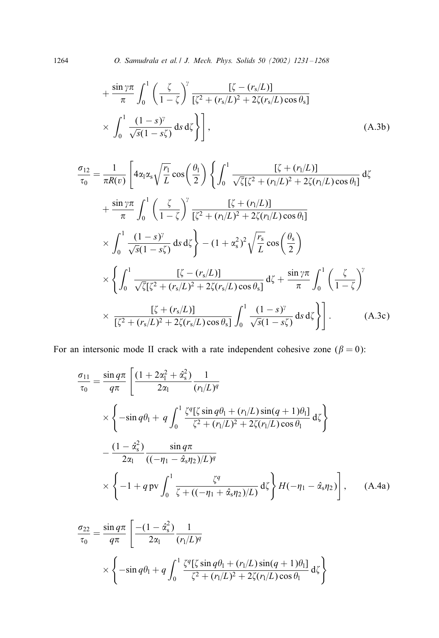1264 *O. Samudrala et al. / J. Mech. Phys. Solids 50 (2002) 1231 – 1268*

$$
+\frac{\sin\gamma\pi}{\pi}\int_0^1\left(\frac{\zeta}{1-\zeta}\right)^{\gamma}\frac{[\zeta-(r_s/L)]}{[\zeta^2+(r_s/L)^2+2\zeta(r_s/L)\cos\theta_s]}
$$

$$
\times\int_0^1\frac{(1-s)^{\gamma}}{\sqrt{s}(1-s\zeta)}\,ds\,d\zeta\Bigg\}\Bigg],
$$
(A.3b)

$$
\frac{\sigma_{12}}{\tau_0} = \frac{1}{\pi R(v)} \left[ 4\alpha_1 \alpha_s \sqrt{\frac{r_1}{L}} \cos\left(\frac{\theta_1}{2}\right) \left\{ \int_0^1 \frac{[\zeta + (r_1/L)]}{\sqrt{\zeta} [\zeta^2 + (r_1/L)^2 + 2\zeta (r_1/L) \cos \theta_1]} d\zeta \right. \right. \\
\left. + \frac{\sin \gamma \pi}{\pi} \int_0^1 \left( \frac{\zeta}{1 - \zeta} \right)^{\gamma} \frac{[\zeta + (r_1/L)]}{[\zeta^2 + (r_1/L)^2 + 2\zeta (r_1/L) \cos \theta_1]} d\zeta \right] \\
\times \int_0^1 \frac{(1 - s)^{\gamma}}{\sqrt{s} (1 - s\zeta)} ds d\zeta \right\} - (1 + \alpha_s^2)^2 \sqrt{\frac{r_s}{L}} \cos\left(\frac{\theta_s}{2}\right) \\
\times \left\{ \int_0^1 \frac{[\zeta - (r_s/L)]}{\sqrt{\zeta} [\zeta^2 + (r_s/L)^2 + 2\zeta (r_s/L) \cos \theta_s]} d\zeta + \frac{\sin \gamma \pi}{\pi} \int_0^1 \left( \frac{\zeta}{1 - \zeta} \right)^{\gamma} d\zeta \right\} d\zeta \right\} \\
\times \frac{[\zeta + (r_s/L)]}{[\zeta^2 + (r_s/L)^2 + 2\zeta (r_s/L) \cos \theta_s]} \int_0^1 \frac{(1 - s)^{\gamma}}{\sqrt{s} (1 - s\zeta)} ds d\zeta \right]. \tag{A.3c}
$$

For an intersonic mode II crack with a rate independent cohesive zone ( $\beta = 0$ ):

$$
\frac{\sigma_{11}}{\tau_0} = \frac{\sin q\pi}{q\pi} \left[ \frac{(1 + 2\alpha_1^2 + \hat{\alpha}_s^2)}{2\alpha_1} \frac{1}{(r_1/L)^q} \times \left\{ -\sin q\theta_1 + q \int_0^1 \frac{\zeta^q [\zeta \sin q\theta_1 + (r_1/L) \sin(q+1)\theta_1]}{\zeta^2 + (r_1/L)^2 + 2\zeta(r_1/L) \cos \theta_1} d\zeta \right\} \n- \frac{(1 - \hat{\alpha}_s^2)}{2\alpha_1} \frac{\sin q\pi}{((-\eta_1 - \hat{\alpha}_s \eta_2)/L)^q} \n\times \left\{ -1 + q \text{pv} \int_0^1 \frac{\zeta^q}{\zeta + ((-\eta_1 + \hat{\alpha}_s \eta_2)/L)} d\zeta \right\} H(-\eta_1 - \hat{\alpha}_s \eta_2) \right], \quad \text{(A.4a)}
$$

$$
\frac{\sigma_{22}}{\tau_0} = \frac{\sin q\pi}{q\pi} \left[ \frac{-(1-\hat{\alpha}_{\rm s}^2)}{2\alpha_1} \frac{1}{(r_1/L)^q} \times \left\{ -\sin q\theta_1 + q \int_0^1 \frac{\zeta^q[\zeta \sin q\theta_1 + (r_1/L)\sin(q+1)\theta_1]}{\zeta^2 + (r_1/L)^2 + 2\zeta(r_1/L)\cos\theta_1} d\zeta \right\}
$$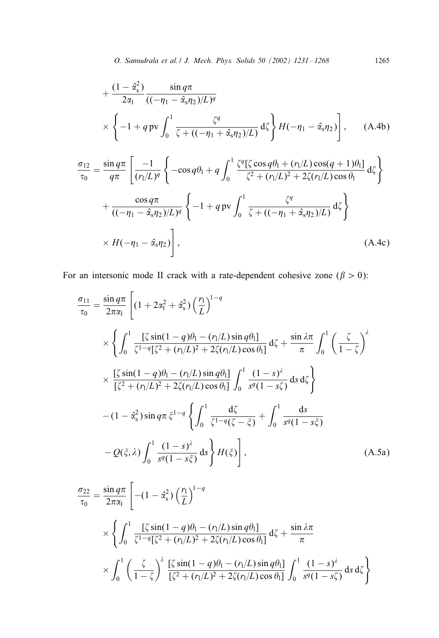*O. Samudrala et al. / J. Mech. Phys. Solids 50 (2002) 1231 – 1268* 1265

$$
+\frac{(1-\hat{\alpha}_{s}^{2})}{2\alpha_{1}}\frac{\sin q\pi}{((-\eta_{1}-\hat{\alpha}_{s}\eta_{2})/L)^{q}}\times\left\{-1+q\,\text{pv}\int_{0}^{1}\frac{\zeta^{q}}{\zeta+((-\eta_{1}+\hat{\alpha}_{s}\eta_{2})/L)}\,\mathrm{d}\zeta\right\}H(-\eta_{1}-\hat{\alpha}_{s}\eta_{2})\right\},\qquad\text{(A.4b)}
$$

$$
\frac{\sigma_{12}}{\tau_0} = \frac{\sin q\pi}{q\pi} \left[ \frac{-1}{(r_1/L)^q} \left\{ -\cos q\theta_1 + q \int_0^1 \frac{\zeta^q [\zeta \cos q\theta_1 + (r_1/L) \cos(q+1)\theta_1]}{\zeta^2 + (r_1/L)^2 + 2\zeta(r_1/L) \cos \theta_1} d\zeta \right\} + \frac{\cos q\pi}{((-\eta_1 - \hat{\alpha}_s \eta_2)/L)^q} \left\{ -1 + q \operatorname{pv} \int_0^1 \frac{\zeta^q}{\zeta + ((-\eta_1 + \hat{\alpha}_s \eta_2)/L)} d\zeta \right\} + H(-\eta_1 - \hat{\alpha}_s \eta_2) \right],
$$
\n(A.4c)

For an intersonic mode II crack with a rate-dependent cohesive zone ( $\beta > 0$ ):

$$
\frac{\sigma_{11}}{\tau_0} = \frac{\sin q \pi}{2 \pi \alpha_1} \left[ (1 + 2\alpha_1^2 + \alpha_s^2) \left( \frac{r_1}{L} \right)^{1-q} \times \left\{ \int_0^1 \frac{[\zeta \sin(1 - q)\theta_1 - (r_1/L) \sin q\theta_1]}{\zeta^{1-q} [\zeta^2 + (r_1/L)^2 + 2\zeta(r_1/L) \cos \theta_1]} d\zeta + \frac{\sin \lambda \pi}{\pi} \int_0^1 \left( \frac{\zeta}{1 - \zeta} \right)^{\lambda} \times \frac{[\zeta \sin(1 - q)\theta_1 - (r_1/L) \sin q\theta_1]}{[\zeta^2 + (r_1/L)^2 + 2\zeta(r_1/L) \cos \theta_1]} \int_0^1 \frac{(1 - s)^{\lambda}}{s^q (1 - s\zeta)} ds d\zeta \right\}
$$

$$
- (1 - \hat{\alpha}_s^2) \sin q \pi \xi^{1-q} \left\{ \int_0^1 \frac{d\zeta}{\zeta^{1-q} (\zeta - \xi)} + \int_0^1 \frac{ds}{s^q (1 - s\zeta)}
$$

$$
- Q(\xi, \lambda) \int_0^1 \frac{(1 - s)^{\lambda}}{s^q (1 - s\zeta)} ds \right\} H(\xi) \right], \tag{A.5a}
$$

$$
\frac{\sigma_{22}}{\tau_0} = \frac{\sin q\pi}{2\pi\alpha_1} \left[ -(1 - \hat{\alpha}_s^2) \left(\frac{r_1}{L}\right)^{1-q} \times \left\{ \int_0^1 \frac{\left[\zeta \sin(1-q)\theta_1 - (r_1/L)\sin q\theta_1\right]}{\zeta^{1-q}\left[\zeta^2 + (r_1/L)^2 + 2\zeta(r_1/L)\cos \theta_1\right]} d\zeta + \frac{\sin \lambda \pi}{\pi} \right\}
$$

$$
\times \int_0^1 \left(\frac{\zeta}{1-\zeta}\right)^{\lambda} \frac{\left[\zeta \sin(1-q)\theta_1 - (r_1/L)\sin q\theta_1\right]}{\left[\zeta^2 + (r_1/L)^2 + 2\zeta(r_1/L)\cos \theta_1\right]} \int_0^1 \frac{(1-s)^{\lambda}}{s^q(1-s\zeta)} ds d\zeta \right\}
$$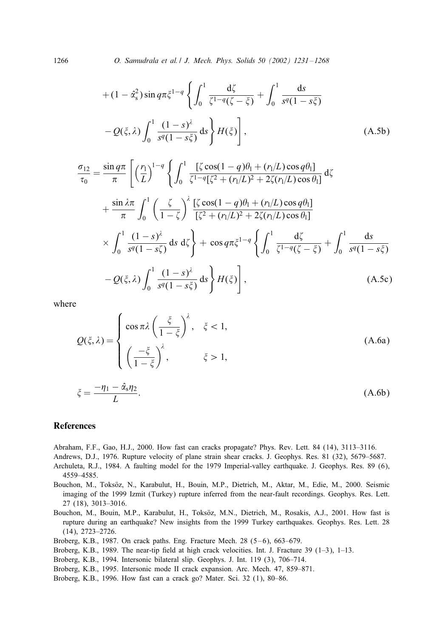1266 *O. Samudrala et al. / J. Mech. Phys. Solids 50 (2002) 1231 – 1268*

$$
+(1-\hat{\alpha}_s^2)\sin q\pi\xi^{1-q}\left\{\int_0^1\frac{d\zeta}{\zeta^{1-q}(\zeta-\xi)}+\int_0^1\frac{ds}{s^q(1-s\xi)}\\-\mathcal{Q}(\xi,\lambda)\int_0^1\frac{(1-s)^{\lambda}}{s^q(1-s\xi)}ds\right\}H(\xi)\right\},\tag{A.5b}
$$

$$
\frac{\sigma_{12}}{\tau_0} = \frac{\sin q \pi}{\pi} \left[ \left(\frac{r_1}{L}\right)^{1-q} \left\{ \int_0^1 \frac{[\zeta \cos(1-q)\theta_1 + (r_1/L)\cos q\theta_1]}{\zeta^{1-q} [\zeta^2 + (r_1/L)^2 + 2\zeta(r_1/L)\cos \theta_1]} d\zeta \right. \right.\left. + \frac{\sin \lambda \pi}{\pi} \int_0^1 \left( \frac{\zeta}{1-\zeta} \right)^{\lambda} \frac{[\zeta \cos(1-q)\theta_1 + (r_1/L)\cos q\theta_1]}{[\zeta^2 + (r_1/L)^2 + 2\zeta(r_1/L)\cos \theta_1]} d\zeta \right.\left. \times \int_0^1 \frac{(1-s)^{\lambda}}{s^q (1-s\zeta)} ds d\zeta \right\} + \cos q \pi \zeta^{1-q} \left\{ \int_0^1 \frac{d\zeta}{\zeta^{1-q} (\zeta-\zeta)} + \int_0^1 \frac{ds}{s^q (1-s\zeta)} -Q(\zeta,\lambda) \int_0^1 \frac{(1-s)^{\lambda}}{s^q (1-s\zeta)} ds \right\} H(\zeta) \right],
$$
\n(A.5c)

where

$$
Q(\xi, \lambda) = \begin{cases} \cos \pi \lambda \left( \frac{\xi}{1 - \xi} \right)^{\lambda}, & \xi < 1, \\ \left( \frac{-\xi}{1 - \xi} \right)^{\lambda}, & \xi > 1, \end{cases}
$$
(A.6a)  

$$
\xi = \frac{-\eta_1 - \hat{\alpha}_s \eta_2}{L}.
$$
(A.6b)

## References

Abraham, F.F., Gao, H.J., 2000. How fast can cracks propagate? Phys. Rev. Lett. 84 (14), 3113–3116.

- Andrews, D.J., 1976. Rupture velocity of plane strain shear cracks. J. Geophys. Res. 81 (32), 5679–5687.
- Archuleta, R.J., 1984. A faulting model for the 1979 Imperial-valley earthquake. J. Geophys. Res. 89 (6), 4559–4585.
- Bouchon, M., Toksöz, N., Karabulut, H., Bouin, M.P., Dietrich, M., Aktar, M., Edie, M., 2000. Seismic imaging of the 1999 Izmit (Turkey) rupture inferred from the near-fault recordings. Geophys. Res. Lett. 27 (18), 3013–3016.
- Bouchon, M., Bouin, M.P., Karabulut, H., Toksöz, M.N., Dietrich, M., Rosakis, A.J., 2001. How fast is rupture during an earthquake? New insights from the 1999 Turkey earthquakes. Geophys. Res. Lett. 28 (14), 2723–2726.

Broberg, K.B., 1987. On crack paths. Eng. Fracture Mech. 28 (5-6), 663-679.

- Broberg, K.B., 1989. The near-tip field at high crack velocities. Int. J. Fracture 39  $(1-3)$ ,  $1-13$ .
- Broberg, K.B., 1994. Intersonic bilateral slip. Geophys. J. Int. 119 (3), 706–714.
- Broberg, K.B., 1995. Intersonic mode II crack expansion. Arc. Mech. 47, 859–871.

Broberg, K.B., 1996. How fast can a crack go? Mater. Sci. 32 (1), 80–86.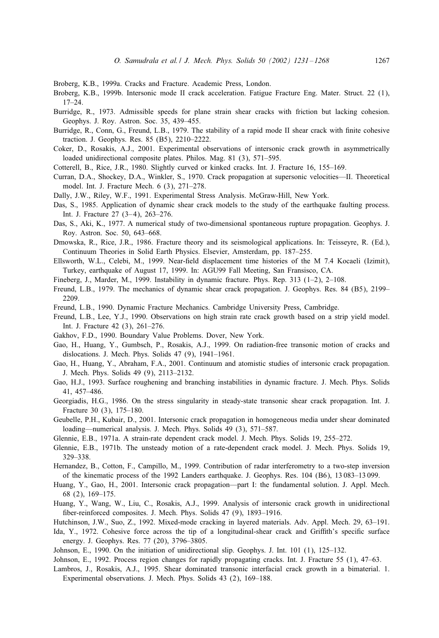- Broberg, K.B., 1999a. Cracks and Fracture. Academic Press, London.
- Broberg, K.B., 1999b. Intersonic mode II crack acceleration. Fatigue Fracture Eng. Mater. Struct. 22 (1), 17–24.
- Burridge, R., 1973. Admissible speeds for plane strain shear cracks with friction but lacking cohesion. Geophys. J. Roy. Astron. Soc. 35, 439–455.
- Burridge, R., Conn, G., Freund, L.B., 1979. The stability of a rapid mode II shear crack with finite cohesive traction. J. Geophys. Res. 85 (B5), 2210–2222.
- Coker, D., Rosakis, A.J., 2001. Experimental observations of intersonic crack growth in asymmetrically loaded unidirectional composite plates. Philos. Mag. 81 (3), 571–595.
- Cotterell, B., Rice, J.R., 1980. Slightly curved or kinked cracks. Int. J. Fracture 16, 155–169.
- Curran, D.A., Shockey, D.A., Winkler, S., 1970. Crack propagation at supersonic velocities—II. Theoretical model. Int. J. Fracture Mech. 6 (3), 271–278.
- Dally, J.W., Riley, W.F., 1991. Experimental Stress Analysis. McGraw-Hill, New York.
- Das, S., 1985. Application of dynamic shear crack models to the study of the earthquake faulting process. Int. J. Fracture 27 (3-4), 263-276.
- Das, S., Aki, K., 1977. A numerical study of two-dimensional spontaneous rupture propagation. Geophys. J. Roy. Astron. Soc. 50, 643–668.
- Dmowska, R., Rice, J.R., 1986. Fracture theory and its seismological applications. In: Teisseyre, R. (Ed.), Continuum Theories in Solid Earth Physics. Elsevier, Amsterdam, pp. 187–255.
- Ellsworth, W.L., Celebi, M., 1999. Near-field displacement time histories of the M 7.4 Kocaeli (Izimit), Turkey, earthquake of August 17, 1999. In: AGU99 Fall Meeting, San Fransisco, CA.
- Fineberg, J., Marder, M., 1999. Instability in dynamic fracture. Phys. Rep. 313 (1–2), 2–108.
- Freund, L.B., 1979. The mechanics of dynamic shear crack propagation. J. Geophys. Res. 84 (B5), 2199– 2209.
- Freund, L.B., 1990. Dynamic Fracture Mechanics. Cambridge University Press, Cambridge.
- Freund, L.B., Lee, Y.J., 1990. Observations on high strain rate crack growth based on a strip yield model. Int. J. Fracture 42 (3), 261–276.
- Gakhov, F.D., 1990. Boundary Value Problems. Dover, New York.
- Gao, H., Huang, Y., Gumbsch, P., Rosakis, A.J., 1999. On radiation-free transonic motion of cracks and dislocations. J. Mech. Phys. Solids 47 (9), 1941–1961.
- Gao, H., Huang, Y., Abraham, F.A., 2001. Continuum and atomistic studies of intersonic crack propagation. J. Mech. Phys. Solids 49 (9), 2113–2132.
- Gao, H.J., 1993. Surface roughening and branching instabilities in dynamic fracture. J. Mech. Phys. Solids 41, 457–486.
- Georgiadis, H.G., 1986. On the stress singularity in steady-state transonic shear crack propagation. Int. J. Fracture 30 (3), 175–180.
- Geubelle, P.H., Kubair, D., 2001. Intersonic crack propagation in homogeneous media under shear dominated loading—numerical analysis. J. Mech. Phys. Solids 49 (3), 571–587.
- Glennie, E.B., 1971a. A strain-rate dependent crack model. J. Mech. Phys. Solids 19, 255–272.
- Glennie, E.B., 1971b. The unsteady motion of a rate-dependent crack model. J. Mech. Phys. Solids 19, 329–338.
- Hernandez, B., Cotton, F., Campillo, M., 1999. Contribution of radar interferometry to a two-step inversion of the kinematic process of the 1992 Landers earthquake. J. Geophys. Res. 104 (B6), 13 083–13 099.
- Huang, Y., Gao, H., 2001. Intersonic crack propagation—part I: the fundamental solution. J. Appl. Mech. 68 (2), 169–175.
- Huang, Y., Wang, W., Liu, C., Rosakis, A.J., 1999. Analysis of intersonic crack growth in unidirectional fiber-reinforced composites. J. Mech. Phys. Solids 47 (9), 1893-1916.
- Hutchinson, J.W., Suo, Z., 1992. Mixed-mode cracking in layered materials. Adv. Appl. Mech. 29, 63–191.
- Ida, Y., 1972. Cohesive force across the tip of a longitudinal-shear crack and Griffith's specific surface energy. J. Geophys. Res. 77 (20), 3796–3805.
- Johnson, E., 1990. On the initiation of unidirectional slip. Geophys. J. Int. 101 (1), 125–132.
- Johnson, E., 1992. Process region changes for rapidly propagating cracks. Int. J. Fracture 55 (1), 47–63.
- Lambros, J., Rosakis, A.J., 1995. Shear dominated transonic interfacial crack growth in a bimaterial. 1. Experimental observations. J. Mech. Phys. Solids 43 (2), 169–188.